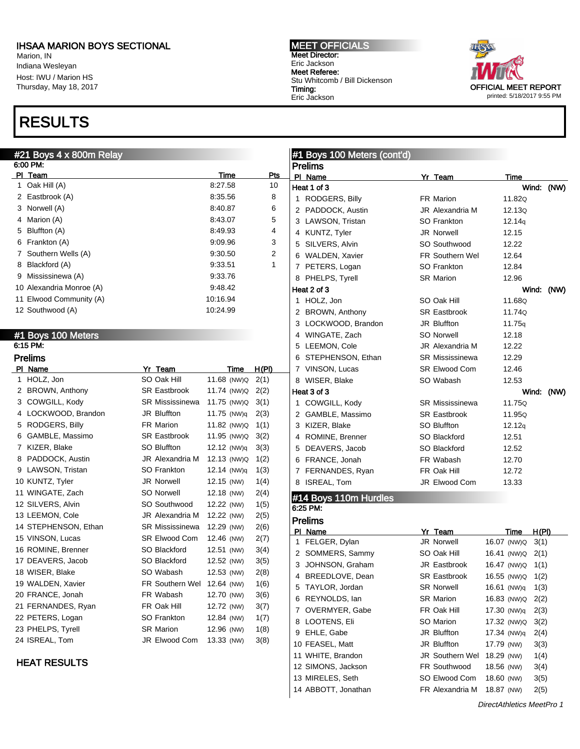Marion, IN Indiana Wesleyan Host: IWU / Marion HS Thursday, May 18, 2017

# RESULTS

#### MEET OFFICIALS Meet Director: Eric Jackson Meet Referee: Stu Whitcomb / Bill Dickenson Timing: Eric Jackson



| 6:00 PM:<br><b>Prelims</b><br>PI Team<br>Pts<br>Time<br>PI Name<br>Yr Team<br>Time<br>8:27.58<br>1 Oak Hill (A)<br>10<br>Heat 1 of 3<br>Wind: (NW)<br>2 Eastbrook (A)<br>8:35.56<br>8<br>1 RODGERS, Billy<br>11.82Q<br>FR Marion<br>3 Norwell (A)<br>8:40.87<br>6<br>2 PADDOCK, Austin<br>JR Alexandria M<br>12.13Q<br>4 Marion (A)<br>8:43.07<br>5<br>3 LAWSON, Tristan<br>SO Frankton<br>12.14q<br>5 Bluffton (A)<br>8:49.93<br>4<br>4 KUNTZ, Tyler<br>JR Norwell<br>12.15<br>6 Frankton (A)<br>9:09.96<br>3<br>5 SILVERS, Alvin<br>SO Southwood<br>12.22<br>7 Southern Wells (A)<br>9:30.50<br>2<br>6 WALDEN, Xavier<br>FR Southern Wel<br>12.64<br>8 Blackford (A)<br>9:33.51<br>1<br>7 PETERS, Logan<br>SO Frankton<br>12.84<br>9 Mississinewa (A)<br>9:33.76<br>8 PHELPS, Tyrell<br><b>SR Marion</b><br>12.96<br>10 Alexandria Monroe (A)<br>9:48.42<br>Heat 2 of 3<br>Wind: (NW)<br>11 Elwood Community (A)<br>10:16.94<br>1 HOLZ, Jon<br>11.68Q<br>SO Oak Hill<br>12 Southwood (A)<br>10:24.99<br>2 BROWN, Anthony<br><b>SR Eastbrook</b><br>11.74Q<br>3 LOCKWOOD, Brandon<br>JR Bluffton<br>11.75q<br>#1 Boys 100 Meters<br>4 WINGATE, Zach<br><b>SO Norwell</b><br>12.18<br>6:15 PM:<br>5 LEEMON, Cole<br>12.22<br>JR Alexandria M<br><b>Prelims</b><br>6 STEPHENSON, Ethan<br><b>SR Mississinewa</b><br>12.29<br>PI Name<br>Yr Team<br>H(PI)<br>7 VINSON, Lucas<br><b>SR Elwood Com</b><br>12.46<br>Time<br>1 HOLZ, Jon<br>SO Oak Hill<br>11.68 (NW)Q<br>2(1)<br>8 WISER, Blake<br>SO Wabash<br>12.53<br>2 BROWN, Anthony<br><b>SR Eastbrook</b><br>11.74 (NW)Q<br>2(2)<br>Heat 3 of 3<br>Wind: (NW)<br>3 COWGILL, Kody<br><b>SR Mississinewa</b><br>11.75 (NW)Q<br>3(1)<br>1 COWGILL, Kody<br>11.75Q<br>SR Mississinewa<br>4 LOCKWOOD, Brandon<br>JR Bluffton<br>11.75 (NW)q<br>2(3)<br>2 GAMBLE, Massimo<br><b>SR Eastbrook</b><br>11.95Q<br>5 RODGERS, Billy<br>FR Marion<br>11.82 (NW)Q<br>1(1)<br>3 KIZER, Blake<br>SO Bluffton<br>12.12q<br>6 GAMBLE, Massimo<br><b>SR Eastbrook</b><br>11.95 (NW)Q<br>3(2)<br>4 ROMINE, Brenner<br>12.51<br>SO Blackford<br>7 KIZER, Blake<br><b>SO Bluffton</b><br>12.12 (NW)q<br>3(3)<br>5 DEAVERS, Jacob<br>SO Blackford<br>12.52<br>8 PADDOCK, Austin<br>12.13 (NW)Q<br>JR Alexandria M<br>1(2)<br>6 FRANCE, Jonah<br>FR Wabash<br>12.70<br>9 LAWSON, Tristan<br>SO Frankton<br>12.14 (NW)q<br>1(3)<br>7 FERNANDES, Ryan<br>FR Oak Hill<br>12.72<br>10 KUNTZ, Tyler<br><b>JR Norwell</b><br>12.15 (NW)<br>1(4)<br>8 ISREAL, Tom<br>JR Elwood Com<br>13.33<br>11 WINGATE, Zach<br><b>SO Norwell</b><br>12.18 (NW)<br>2(4)<br>#14 Boys 110m Hurdles<br>12 SILVERS, Alvin<br>SO Southwood<br>12.22 (NW)<br>1(5)<br>6:25 PM:<br>13 LEEMON, Cole<br>12.22 (NW)<br>2(5)<br>JR Alexandria M<br><b>Prelims</b><br>14 STEPHENSON, Ethan<br><b>SR Mississinewa</b><br>12.29 (NW)<br>2(6)<br>PI Name<br>Yr Team<br>H(PI)<br><u>Time</u><br>15 VINSON, Lucas<br>SR Elwood Com<br>12.46 (NW)<br>2(7)<br>1 FELGER, Dylan<br>JR Norwell<br>16.07 (NW)Q<br>3(1)<br>16 ROMINE, Brenner<br>SO Blackford<br>12.51 (NW)<br>3(4)<br>2 SOMMERS, Sammy<br>SO Oak Hill<br>16.41 (NW)Q<br>2(1)<br>17 DEAVERS, Jacob<br>SO Blackford<br>12.52 (NW)<br>3(5)<br>3 JOHNSON, Graham<br><b>JR Eastbrook</b><br>16.47 (NW)Q 1(1)<br>18 WISER, Blake<br>2(8)<br>SO Wabash<br>12.53 (NW)<br>4 BREEDLOVE, Dean<br><b>SR Eastbrook</b><br>16.55 (NW)Q 1(2)<br>19 WALDEN, Xavier<br>FR Southern Wel<br>12.64 (NW)<br>1(6)<br>5 TAYLOR, Jordan<br><b>SR Norwell</b><br>16.61 (NW)q<br>1(3)<br>20 FRANCE, Jonah<br>FR Wabash<br>12.70 (NW)<br>3(6)<br>6 REYNOLDS, lan<br><b>SR Marion</b><br>16.83 (NW)Q<br>2(2)<br>21 FERNANDES, Ryan<br>FR Oak Hill<br>12.72 (NW)<br>3(7)<br>7 OVERMYER, Gabe<br>FR Oak Hill<br>17.30 (NW)q<br>2(3) | #21 Boys 4 x 800m Relay |             |            |      | #1 Boys 100 Meters (cont'd) |  |  |      |  |
|------------------------------------------------------------------------------------------------------------------------------------------------------------------------------------------------------------------------------------------------------------------------------------------------------------------------------------------------------------------------------------------------------------------------------------------------------------------------------------------------------------------------------------------------------------------------------------------------------------------------------------------------------------------------------------------------------------------------------------------------------------------------------------------------------------------------------------------------------------------------------------------------------------------------------------------------------------------------------------------------------------------------------------------------------------------------------------------------------------------------------------------------------------------------------------------------------------------------------------------------------------------------------------------------------------------------------------------------------------------------------------------------------------------------------------------------------------------------------------------------------------------------------------------------------------------------------------------------------------------------------------------------------------------------------------------------------------------------------------------------------------------------------------------------------------------------------------------------------------------------------------------------------------------------------------------------------------------------------------------------------------------------------------------------------------------------------------------------------------------------------------------------------------------------------------------------------------------------------------------------------------------------------------------------------------------------------------------------------------------------------------------------------------------------------------------------------------------------------------------------------------------------------------------------------------------------------------------------------------------------------------------------------------------------------------------------------------------------------------------------------------------------------------------------------------------------------------------------------------------------------------------------------------------------------------------------------------------------------------------------------------------------------------------------------------------------------------------------------------------------------------------------------------------------------------------------------------------------------------------------------------------------------------------------------------------------------------------------------------------------------------------------------------------------------------------------------------------------------------------------------------------------------------------------------------------------------------------------------------------------------------------------------------------------------------------------------------------------------------------------------|-------------------------|-------------|------------|------|-----------------------------|--|--|------|--|
|                                                                                                                                                                                                                                                                                                                                                                                                                                                                                                                                                                                                                                                                                                                                                                                                                                                                                                                                                                                                                                                                                                                                                                                                                                                                                                                                                                                                                                                                                                                                                                                                                                                                                                                                                                                                                                                                                                                                                                                                                                                                                                                                                                                                                                                                                                                                                                                                                                                                                                                                                                                                                                                                                                                                                                                                                                                                                                                                                                                                                                                                                                                                                                                                                                                                                                                                                                                                                                                                                                                                                                                                                                                                                                                                                      |                         |             |            |      |                             |  |  |      |  |
|                                                                                                                                                                                                                                                                                                                                                                                                                                                                                                                                                                                                                                                                                                                                                                                                                                                                                                                                                                                                                                                                                                                                                                                                                                                                                                                                                                                                                                                                                                                                                                                                                                                                                                                                                                                                                                                                                                                                                                                                                                                                                                                                                                                                                                                                                                                                                                                                                                                                                                                                                                                                                                                                                                                                                                                                                                                                                                                                                                                                                                                                                                                                                                                                                                                                                                                                                                                                                                                                                                                                                                                                                                                                                                                                                      |                         |             |            |      |                             |  |  |      |  |
|                                                                                                                                                                                                                                                                                                                                                                                                                                                                                                                                                                                                                                                                                                                                                                                                                                                                                                                                                                                                                                                                                                                                                                                                                                                                                                                                                                                                                                                                                                                                                                                                                                                                                                                                                                                                                                                                                                                                                                                                                                                                                                                                                                                                                                                                                                                                                                                                                                                                                                                                                                                                                                                                                                                                                                                                                                                                                                                                                                                                                                                                                                                                                                                                                                                                                                                                                                                                                                                                                                                                                                                                                                                                                                                                                      |                         |             |            |      |                             |  |  |      |  |
|                                                                                                                                                                                                                                                                                                                                                                                                                                                                                                                                                                                                                                                                                                                                                                                                                                                                                                                                                                                                                                                                                                                                                                                                                                                                                                                                                                                                                                                                                                                                                                                                                                                                                                                                                                                                                                                                                                                                                                                                                                                                                                                                                                                                                                                                                                                                                                                                                                                                                                                                                                                                                                                                                                                                                                                                                                                                                                                                                                                                                                                                                                                                                                                                                                                                                                                                                                                                                                                                                                                                                                                                                                                                                                                                                      |                         |             |            |      |                             |  |  |      |  |
|                                                                                                                                                                                                                                                                                                                                                                                                                                                                                                                                                                                                                                                                                                                                                                                                                                                                                                                                                                                                                                                                                                                                                                                                                                                                                                                                                                                                                                                                                                                                                                                                                                                                                                                                                                                                                                                                                                                                                                                                                                                                                                                                                                                                                                                                                                                                                                                                                                                                                                                                                                                                                                                                                                                                                                                                                                                                                                                                                                                                                                                                                                                                                                                                                                                                                                                                                                                                                                                                                                                                                                                                                                                                                                                                                      |                         |             |            |      |                             |  |  |      |  |
|                                                                                                                                                                                                                                                                                                                                                                                                                                                                                                                                                                                                                                                                                                                                                                                                                                                                                                                                                                                                                                                                                                                                                                                                                                                                                                                                                                                                                                                                                                                                                                                                                                                                                                                                                                                                                                                                                                                                                                                                                                                                                                                                                                                                                                                                                                                                                                                                                                                                                                                                                                                                                                                                                                                                                                                                                                                                                                                                                                                                                                                                                                                                                                                                                                                                                                                                                                                                                                                                                                                                                                                                                                                                                                                                                      |                         |             |            |      |                             |  |  |      |  |
|                                                                                                                                                                                                                                                                                                                                                                                                                                                                                                                                                                                                                                                                                                                                                                                                                                                                                                                                                                                                                                                                                                                                                                                                                                                                                                                                                                                                                                                                                                                                                                                                                                                                                                                                                                                                                                                                                                                                                                                                                                                                                                                                                                                                                                                                                                                                                                                                                                                                                                                                                                                                                                                                                                                                                                                                                                                                                                                                                                                                                                                                                                                                                                                                                                                                                                                                                                                                                                                                                                                                                                                                                                                                                                                                                      |                         |             |            |      |                             |  |  |      |  |
|                                                                                                                                                                                                                                                                                                                                                                                                                                                                                                                                                                                                                                                                                                                                                                                                                                                                                                                                                                                                                                                                                                                                                                                                                                                                                                                                                                                                                                                                                                                                                                                                                                                                                                                                                                                                                                                                                                                                                                                                                                                                                                                                                                                                                                                                                                                                                                                                                                                                                                                                                                                                                                                                                                                                                                                                                                                                                                                                                                                                                                                                                                                                                                                                                                                                                                                                                                                                                                                                                                                                                                                                                                                                                                                                                      |                         |             |            |      |                             |  |  |      |  |
|                                                                                                                                                                                                                                                                                                                                                                                                                                                                                                                                                                                                                                                                                                                                                                                                                                                                                                                                                                                                                                                                                                                                                                                                                                                                                                                                                                                                                                                                                                                                                                                                                                                                                                                                                                                                                                                                                                                                                                                                                                                                                                                                                                                                                                                                                                                                                                                                                                                                                                                                                                                                                                                                                                                                                                                                                                                                                                                                                                                                                                                                                                                                                                                                                                                                                                                                                                                                                                                                                                                                                                                                                                                                                                                                                      |                         |             |            |      |                             |  |  |      |  |
|                                                                                                                                                                                                                                                                                                                                                                                                                                                                                                                                                                                                                                                                                                                                                                                                                                                                                                                                                                                                                                                                                                                                                                                                                                                                                                                                                                                                                                                                                                                                                                                                                                                                                                                                                                                                                                                                                                                                                                                                                                                                                                                                                                                                                                                                                                                                                                                                                                                                                                                                                                                                                                                                                                                                                                                                                                                                                                                                                                                                                                                                                                                                                                                                                                                                                                                                                                                                                                                                                                                                                                                                                                                                                                                                                      |                         |             |            |      |                             |  |  |      |  |
|                                                                                                                                                                                                                                                                                                                                                                                                                                                                                                                                                                                                                                                                                                                                                                                                                                                                                                                                                                                                                                                                                                                                                                                                                                                                                                                                                                                                                                                                                                                                                                                                                                                                                                                                                                                                                                                                                                                                                                                                                                                                                                                                                                                                                                                                                                                                                                                                                                                                                                                                                                                                                                                                                                                                                                                                                                                                                                                                                                                                                                                                                                                                                                                                                                                                                                                                                                                                                                                                                                                                                                                                                                                                                                                                                      |                         |             |            |      |                             |  |  |      |  |
|                                                                                                                                                                                                                                                                                                                                                                                                                                                                                                                                                                                                                                                                                                                                                                                                                                                                                                                                                                                                                                                                                                                                                                                                                                                                                                                                                                                                                                                                                                                                                                                                                                                                                                                                                                                                                                                                                                                                                                                                                                                                                                                                                                                                                                                                                                                                                                                                                                                                                                                                                                                                                                                                                                                                                                                                                                                                                                                                                                                                                                                                                                                                                                                                                                                                                                                                                                                                                                                                                                                                                                                                                                                                                                                                                      |                         |             |            |      |                             |  |  |      |  |
|                                                                                                                                                                                                                                                                                                                                                                                                                                                                                                                                                                                                                                                                                                                                                                                                                                                                                                                                                                                                                                                                                                                                                                                                                                                                                                                                                                                                                                                                                                                                                                                                                                                                                                                                                                                                                                                                                                                                                                                                                                                                                                                                                                                                                                                                                                                                                                                                                                                                                                                                                                                                                                                                                                                                                                                                                                                                                                                                                                                                                                                                                                                                                                                                                                                                                                                                                                                                                                                                                                                                                                                                                                                                                                                                                      |                         |             |            |      |                             |  |  |      |  |
|                                                                                                                                                                                                                                                                                                                                                                                                                                                                                                                                                                                                                                                                                                                                                                                                                                                                                                                                                                                                                                                                                                                                                                                                                                                                                                                                                                                                                                                                                                                                                                                                                                                                                                                                                                                                                                                                                                                                                                                                                                                                                                                                                                                                                                                                                                                                                                                                                                                                                                                                                                                                                                                                                                                                                                                                                                                                                                                                                                                                                                                                                                                                                                                                                                                                                                                                                                                                                                                                                                                                                                                                                                                                                                                                                      |                         |             |            |      |                             |  |  |      |  |
|                                                                                                                                                                                                                                                                                                                                                                                                                                                                                                                                                                                                                                                                                                                                                                                                                                                                                                                                                                                                                                                                                                                                                                                                                                                                                                                                                                                                                                                                                                                                                                                                                                                                                                                                                                                                                                                                                                                                                                                                                                                                                                                                                                                                                                                                                                                                                                                                                                                                                                                                                                                                                                                                                                                                                                                                                                                                                                                                                                                                                                                                                                                                                                                                                                                                                                                                                                                                                                                                                                                                                                                                                                                                                                                                                      |                         |             |            |      |                             |  |  |      |  |
|                                                                                                                                                                                                                                                                                                                                                                                                                                                                                                                                                                                                                                                                                                                                                                                                                                                                                                                                                                                                                                                                                                                                                                                                                                                                                                                                                                                                                                                                                                                                                                                                                                                                                                                                                                                                                                                                                                                                                                                                                                                                                                                                                                                                                                                                                                                                                                                                                                                                                                                                                                                                                                                                                                                                                                                                                                                                                                                                                                                                                                                                                                                                                                                                                                                                                                                                                                                                                                                                                                                                                                                                                                                                                                                                                      |                         |             |            |      |                             |  |  |      |  |
|                                                                                                                                                                                                                                                                                                                                                                                                                                                                                                                                                                                                                                                                                                                                                                                                                                                                                                                                                                                                                                                                                                                                                                                                                                                                                                                                                                                                                                                                                                                                                                                                                                                                                                                                                                                                                                                                                                                                                                                                                                                                                                                                                                                                                                                                                                                                                                                                                                                                                                                                                                                                                                                                                                                                                                                                                                                                                                                                                                                                                                                                                                                                                                                                                                                                                                                                                                                                                                                                                                                                                                                                                                                                                                                                                      |                         |             |            |      |                             |  |  |      |  |
|                                                                                                                                                                                                                                                                                                                                                                                                                                                                                                                                                                                                                                                                                                                                                                                                                                                                                                                                                                                                                                                                                                                                                                                                                                                                                                                                                                                                                                                                                                                                                                                                                                                                                                                                                                                                                                                                                                                                                                                                                                                                                                                                                                                                                                                                                                                                                                                                                                                                                                                                                                                                                                                                                                                                                                                                                                                                                                                                                                                                                                                                                                                                                                                                                                                                                                                                                                                                                                                                                                                                                                                                                                                                                                                                                      |                         |             |            |      |                             |  |  |      |  |
|                                                                                                                                                                                                                                                                                                                                                                                                                                                                                                                                                                                                                                                                                                                                                                                                                                                                                                                                                                                                                                                                                                                                                                                                                                                                                                                                                                                                                                                                                                                                                                                                                                                                                                                                                                                                                                                                                                                                                                                                                                                                                                                                                                                                                                                                                                                                                                                                                                                                                                                                                                                                                                                                                                                                                                                                                                                                                                                                                                                                                                                                                                                                                                                                                                                                                                                                                                                                                                                                                                                                                                                                                                                                                                                                                      |                         |             |            |      |                             |  |  |      |  |
|                                                                                                                                                                                                                                                                                                                                                                                                                                                                                                                                                                                                                                                                                                                                                                                                                                                                                                                                                                                                                                                                                                                                                                                                                                                                                                                                                                                                                                                                                                                                                                                                                                                                                                                                                                                                                                                                                                                                                                                                                                                                                                                                                                                                                                                                                                                                                                                                                                                                                                                                                                                                                                                                                                                                                                                                                                                                                                                                                                                                                                                                                                                                                                                                                                                                                                                                                                                                                                                                                                                                                                                                                                                                                                                                                      |                         |             |            |      |                             |  |  |      |  |
|                                                                                                                                                                                                                                                                                                                                                                                                                                                                                                                                                                                                                                                                                                                                                                                                                                                                                                                                                                                                                                                                                                                                                                                                                                                                                                                                                                                                                                                                                                                                                                                                                                                                                                                                                                                                                                                                                                                                                                                                                                                                                                                                                                                                                                                                                                                                                                                                                                                                                                                                                                                                                                                                                                                                                                                                                                                                                                                                                                                                                                                                                                                                                                                                                                                                                                                                                                                                                                                                                                                                                                                                                                                                                                                                                      |                         |             |            |      |                             |  |  |      |  |
|                                                                                                                                                                                                                                                                                                                                                                                                                                                                                                                                                                                                                                                                                                                                                                                                                                                                                                                                                                                                                                                                                                                                                                                                                                                                                                                                                                                                                                                                                                                                                                                                                                                                                                                                                                                                                                                                                                                                                                                                                                                                                                                                                                                                                                                                                                                                                                                                                                                                                                                                                                                                                                                                                                                                                                                                                                                                                                                                                                                                                                                                                                                                                                                                                                                                                                                                                                                                                                                                                                                                                                                                                                                                                                                                                      |                         |             |            |      |                             |  |  |      |  |
|                                                                                                                                                                                                                                                                                                                                                                                                                                                                                                                                                                                                                                                                                                                                                                                                                                                                                                                                                                                                                                                                                                                                                                                                                                                                                                                                                                                                                                                                                                                                                                                                                                                                                                                                                                                                                                                                                                                                                                                                                                                                                                                                                                                                                                                                                                                                                                                                                                                                                                                                                                                                                                                                                                                                                                                                                                                                                                                                                                                                                                                                                                                                                                                                                                                                                                                                                                                                                                                                                                                                                                                                                                                                                                                                                      |                         |             |            |      |                             |  |  |      |  |
|                                                                                                                                                                                                                                                                                                                                                                                                                                                                                                                                                                                                                                                                                                                                                                                                                                                                                                                                                                                                                                                                                                                                                                                                                                                                                                                                                                                                                                                                                                                                                                                                                                                                                                                                                                                                                                                                                                                                                                                                                                                                                                                                                                                                                                                                                                                                                                                                                                                                                                                                                                                                                                                                                                                                                                                                                                                                                                                                                                                                                                                                                                                                                                                                                                                                                                                                                                                                                                                                                                                                                                                                                                                                                                                                                      |                         |             |            |      |                             |  |  |      |  |
|                                                                                                                                                                                                                                                                                                                                                                                                                                                                                                                                                                                                                                                                                                                                                                                                                                                                                                                                                                                                                                                                                                                                                                                                                                                                                                                                                                                                                                                                                                                                                                                                                                                                                                                                                                                                                                                                                                                                                                                                                                                                                                                                                                                                                                                                                                                                                                                                                                                                                                                                                                                                                                                                                                                                                                                                                                                                                                                                                                                                                                                                                                                                                                                                                                                                                                                                                                                                                                                                                                                                                                                                                                                                                                                                                      |                         |             |            |      |                             |  |  |      |  |
|                                                                                                                                                                                                                                                                                                                                                                                                                                                                                                                                                                                                                                                                                                                                                                                                                                                                                                                                                                                                                                                                                                                                                                                                                                                                                                                                                                                                                                                                                                                                                                                                                                                                                                                                                                                                                                                                                                                                                                                                                                                                                                                                                                                                                                                                                                                                                                                                                                                                                                                                                                                                                                                                                                                                                                                                                                                                                                                                                                                                                                                                                                                                                                                                                                                                                                                                                                                                                                                                                                                                                                                                                                                                                                                                                      |                         |             |            |      |                             |  |  |      |  |
|                                                                                                                                                                                                                                                                                                                                                                                                                                                                                                                                                                                                                                                                                                                                                                                                                                                                                                                                                                                                                                                                                                                                                                                                                                                                                                                                                                                                                                                                                                                                                                                                                                                                                                                                                                                                                                                                                                                                                                                                                                                                                                                                                                                                                                                                                                                                                                                                                                                                                                                                                                                                                                                                                                                                                                                                                                                                                                                                                                                                                                                                                                                                                                                                                                                                                                                                                                                                                                                                                                                                                                                                                                                                                                                                                      |                         |             |            |      |                             |  |  |      |  |
|                                                                                                                                                                                                                                                                                                                                                                                                                                                                                                                                                                                                                                                                                                                                                                                                                                                                                                                                                                                                                                                                                                                                                                                                                                                                                                                                                                                                                                                                                                                                                                                                                                                                                                                                                                                                                                                                                                                                                                                                                                                                                                                                                                                                                                                                                                                                                                                                                                                                                                                                                                                                                                                                                                                                                                                                                                                                                                                                                                                                                                                                                                                                                                                                                                                                                                                                                                                                                                                                                                                                                                                                                                                                                                                                                      |                         |             |            |      |                             |  |  |      |  |
|                                                                                                                                                                                                                                                                                                                                                                                                                                                                                                                                                                                                                                                                                                                                                                                                                                                                                                                                                                                                                                                                                                                                                                                                                                                                                                                                                                                                                                                                                                                                                                                                                                                                                                                                                                                                                                                                                                                                                                                                                                                                                                                                                                                                                                                                                                                                                                                                                                                                                                                                                                                                                                                                                                                                                                                                                                                                                                                                                                                                                                                                                                                                                                                                                                                                                                                                                                                                                                                                                                                                                                                                                                                                                                                                                      |                         |             |            |      |                             |  |  |      |  |
|                                                                                                                                                                                                                                                                                                                                                                                                                                                                                                                                                                                                                                                                                                                                                                                                                                                                                                                                                                                                                                                                                                                                                                                                                                                                                                                                                                                                                                                                                                                                                                                                                                                                                                                                                                                                                                                                                                                                                                                                                                                                                                                                                                                                                                                                                                                                                                                                                                                                                                                                                                                                                                                                                                                                                                                                                                                                                                                                                                                                                                                                                                                                                                                                                                                                                                                                                                                                                                                                                                                                                                                                                                                                                                                                                      |                         |             |            |      |                             |  |  |      |  |
|                                                                                                                                                                                                                                                                                                                                                                                                                                                                                                                                                                                                                                                                                                                                                                                                                                                                                                                                                                                                                                                                                                                                                                                                                                                                                                                                                                                                                                                                                                                                                                                                                                                                                                                                                                                                                                                                                                                                                                                                                                                                                                                                                                                                                                                                                                                                                                                                                                                                                                                                                                                                                                                                                                                                                                                                                                                                                                                                                                                                                                                                                                                                                                                                                                                                                                                                                                                                                                                                                                                                                                                                                                                                                                                                                      |                         |             |            |      |                             |  |  |      |  |
|                                                                                                                                                                                                                                                                                                                                                                                                                                                                                                                                                                                                                                                                                                                                                                                                                                                                                                                                                                                                                                                                                                                                                                                                                                                                                                                                                                                                                                                                                                                                                                                                                                                                                                                                                                                                                                                                                                                                                                                                                                                                                                                                                                                                                                                                                                                                                                                                                                                                                                                                                                                                                                                                                                                                                                                                                                                                                                                                                                                                                                                                                                                                                                                                                                                                                                                                                                                                                                                                                                                                                                                                                                                                                                                                                      |                         |             |            |      |                             |  |  |      |  |
|                                                                                                                                                                                                                                                                                                                                                                                                                                                                                                                                                                                                                                                                                                                                                                                                                                                                                                                                                                                                                                                                                                                                                                                                                                                                                                                                                                                                                                                                                                                                                                                                                                                                                                                                                                                                                                                                                                                                                                                                                                                                                                                                                                                                                                                                                                                                                                                                                                                                                                                                                                                                                                                                                                                                                                                                                                                                                                                                                                                                                                                                                                                                                                                                                                                                                                                                                                                                                                                                                                                                                                                                                                                                                                                                                      |                         |             |            |      |                             |  |  |      |  |
|                                                                                                                                                                                                                                                                                                                                                                                                                                                                                                                                                                                                                                                                                                                                                                                                                                                                                                                                                                                                                                                                                                                                                                                                                                                                                                                                                                                                                                                                                                                                                                                                                                                                                                                                                                                                                                                                                                                                                                                                                                                                                                                                                                                                                                                                                                                                                                                                                                                                                                                                                                                                                                                                                                                                                                                                                                                                                                                                                                                                                                                                                                                                                                                                                                                                                                                                                                                                                                                                                                                                                                                                                                                                                                                                                      |                         |             |            |      |                             |  |  |      |  |
|                                                                                                                                                                                                                                                                                                                                                                                                                                                                                                                                                                                                                                                                                                                                                                                                                                                                                                                                                                                                                                                                                                                                                                                                                                                                                                                                                                                                                                                                                                                                                                                                                                                                                                                                                                                                                                                                                                                                                                                                                                                                                                                                                                                                                                                                                                                                                                                                                                                                                                                                                                                                                                                                                                                                                                                                                                                                                                                                                                                                                                                                                                                                                                                                                                                                                                                                                                                                                                                                                                                                                                                                                                                                                                                                                      |                         |             |            |      |                             |  |  |      |  |
|                                                                                                                                                                                                                                                                                                                                                                                                                                                                                                                                                                                                                                                                                                                                                                                                                                                                                                                                                                                                                                                                                                                                                                                                                                                                                                                                                                                                                                                                                                                                                                                                                                                                                                                                                                                                                                                                                                                                                                                                                                                                                                                                                                                                                                                                                                                                                                                                                                                                                                                                                                                                                                                                                                                                                                                                                                                                                                                                                                                                                                                                                                                                                                                                                                                                                                                                                                                                                                                                                                                                                                                                                                                                                                                                                      |                         |             |            |      |                             |  |  |      |  |
|                                                                                                                                                                                                                                                                                                                                                                                                                                                                                                                                                                                                                                                                                                                                                                                                                                                                                                                                                                                                                                                                                                                                                                                                                                                                                                                                                                                                                                                                                                                                                                                                                                                                                                                                                                                                                                                                                                                                                                                                                                                                                                                                                                                                                                                                                                                                                                                                                                                                                                                                                                                                                                                                                                                                                                                                                                                                                                                                                                                                                                                                                                                                                                                                                                                                                                                                                                                                                                                                                                                                                                                                                                                                                                                                                      |                         |             |            |      |                             |  |  |      |  |
|                                                                                                                                                                                                                                                                                                                                                                                                                                                                                                                                                                                                                                                                                                                                                                                                                                                                                                                                                                                                                                                                                                                                                                                                                                                                                                                                                                                                                                                                                                                                                                                                                                                                                                                                                                                                                                                                                                                                                                                                                                                                                                                                                                                                                                                                                                                                                                                                                                                                                                                                                                                                                                                                                                                                                                                                                                                                                                                                                                                                                                                                                                                                                                                                                                                                                                                                                                                                                                                                                                                                                                                                                                                                                                                                                      |                         |             |            |      |                             |  |  |      |  |
|                                                                                                                                                                                                                                                                                                                                                                                                                                                                                                                                                                                                                                                                                                                                                                                                                                                                                                                                                                                                                                                                                                                                                                                                                                                                                                                                                                                                                                                                                                                                                                                                                                                                                                                                                                                                                                                                                                                                                                                                                                                                                                                                                                                                                                                                                                                                                                                                                                                                                                                                                                                                                                                                                                                                                                                                                                                                                                                                                                                                                                                                                                                                                                                                                                                                                                                                                                                                                                                                                                                                                                                                                                                                                                                                                      |                         |             |            |      |                             |  |  |      |  |
|                                                                                                                                                                                                                                                                                                                                                                                                                                                                                                                                                                                                                                                                                                                                                                                                                                                                                                                                                                                                                                                                                                                                                                                                                                                                                                                                                                                                                                                                                                                                                                                                                                                                                                                                                                                                                                                                                                                                                                                                                                                                                                                                                                                                                                                                                                                                                                                                                                                                                                                                                                                                                                                                                                                                                                                                                                                                                                                                                                                                                                                                                                                                                                                                                                                                                                                                                                                                                                                                                                                                                                                                                                                                                                                                                      |                         |             |            |      |                             |  |  |      |  |
| SO Marion<br>17.32 (NW)Q                                                                                                                                                                                                                                                                                                                                                                                                                                                                                                                                                                                                                                                                                                                                                                                                                                                                                                                                                                                                                                                                                                                                                                                                                                                                                                                                                                                                                                                                                                                                                                                                                                                                                                                                                                                                                                                                                                                                                                                                                                                                                                                                                                                                                                                                                                                                                                                                                                                                                                                                                                                                                                                                                                                                                                                                                                                                                                                                                                                                                                                                                                                                                                                                                                                                                                                                                                                                                                                                                                                                                                                                                                                                                                                             | 22 PETERS, Logan        | SO Frankton | 12.84 (NW) | 1(7) | 8 LOOTENS, Eli              |  |  | 3(2) |  |
| <b>SR Marion</b><br>23 PHELPS, Tyrell<br>12.96 (NW)<br>1(8)<br>9 EHLE, Gabe<br>JR Bluffton<br>17.34 (NW)q<br>2(4)                                                                                                                                                                                                                                                                                                                                                                                                                                                                                                                                                                                                                                                                                                                                                                                                                                                                                                                                                                                                                                                                                                                                                                                                                                                                                                                                                                                                                                                                                                                                                                                                                                                                                                                                                                                                                                                                                                                                                                                                                                                                                                                                                                                                                                                                                                                                                                                                                                                                                                                                                                                                                                                                                                                                                                                                                                                                                                                                                                                                                                                                                                                                                                                                                                                                                                                                                                                                                                                                                                                                                                                                                                    |                         |             |            |      |                             |  |  |      |  |
| JR Elwood Com<br>24 ISREAL, Tom<br>13.33 (NW)<br>3(8)<br>10 FEASEL, Matt<br>JR Bluffton<br>17.79 (NW)<br>3(3)                                                                                                                                                                                                                                                                                                                                                                                                                                                                                                                                                                                                                                                                                                                                                                                                                                                                                                                                                                                                                                                                                                                                                                                                                                                                                                                                                                                                                                                                                                                                                                                                                                                                                                                                                                                                                                                                                                                                                                                                                                                                                                                                                                                                                                                                                                                                                                                                                                                                                                                                                                                                                                                                                                                                                                                                                                                                                                                                                                                                                                                                                                                                                                                                                                                                                                                                                                                                                                                                                                                                                                                                                                        |                         |             |            |      |                             |  |  |      |  |
| 11 WHITE, Brandon<br>JR Southern Wel<br>18.29 (NW)<br>1(4)                                                                                                                                                                                                                                                                                                                                                                                                                                                                                                                                                                                                                                                                                                                                                                                                                                                                                                                                                                                                                                                                                                                                                                                                                                                                                                                                                                                                                                                                                                                                                                                                                                                                                                                                                                                                                                                                                                                                                                                                                                                                                                                                                                                                                                                                                                                                                                                                                                                                                                                                                                                                                                                                                                                                                                                                                                                                                                                                                                                                                                                                                                                                                                                                                                                                                                                                                                                                                                                                                                                                                                                                                                                                                           |                         |             |            |      |                             |  |  |      |  |
| <b>HEAT RESULTS</b><br>12 SIMONS, Jackson<br>FR Southwood<br>18.56 (NW)<br>3(4)                                                                                                                                                                                                                                                                                                                                                                                                                                                                                                                                                                                                                                                                                                                                                                                                                                                                                                                                                                                                                                                                                                                                                                                                                                                                                                                                                                                                                                                                                                                                                                                                                                                                                                                                                                                                                                                                                                                                                                                                                                                                                                                                                                                                                                                                                                                                                                                                                                                                                                                                                                                                                                                                                                                                                                                                                                                                                                                                                                                                                                                                                                                                                                                                                                                                                                                                                                                                                                                                                                                                                                                                                                                                      |                         |             |            |      |                             |  |  |      |  |
| 13 MIRELES, Seth<br>SO Elwood Com<br>18.60 (NW)<br>3(5)                                                                                                                                                                                                                                                                                                                                                                                                                                                                                                                                                                                                                                                                                                                                                                                                                                                                                                                                                                                                                                                                                                                                                                                                                                                                                                                                                                                                                                                                                                                                                                                                                                                                                                                                                                                                                                                                                                                                                                                                                                                                                                                                                                                                                                                                                                                                                                                                                                                                                                                                                                                                                                                                                                                                                                                                                                                                                                                                                                                                                                                                                                                                                                                                                                                                                                                                                                                                                                                                                                                                                                                                                                                                                              |                         |             |            |      |                             |  |  |      |  |

ABBOTT, Jonathan FR Alexandria M 18.87 (NW) 2(5)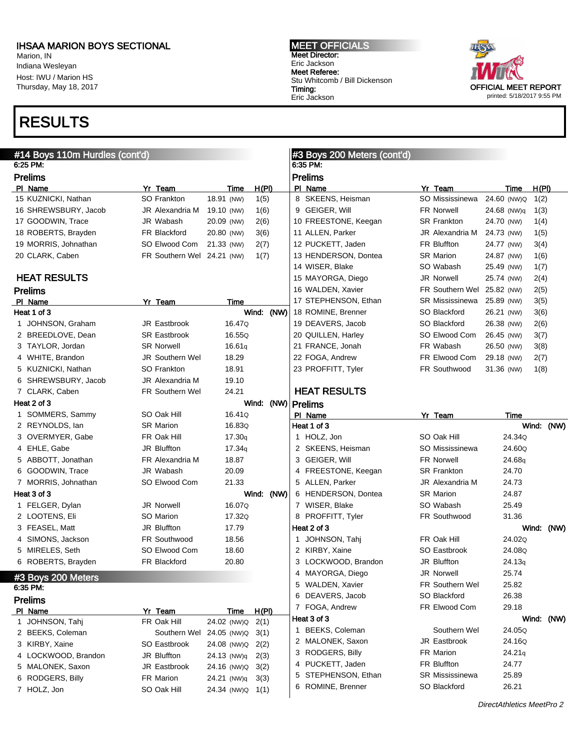Marion, IN Indiana Wesleyan Host: IWU / Marion HS Thursday, May 18, 2017

# RESULTS



| #14 Boys 110m Hurdles (cont'd)<br>6:25 PM: |                            |             |                      | #3 Boys 200 Meters (cont'd)<br>6:35 PM: |                        |             |               |
|--------------------------------------------|----------------------------|-------------|----------------------|-----------------------------------------|------------------------|-------------|---------------|
| <b>Prelims</b>                             |                            |             |                      | <b>Prelims</b>                          |                        |             |               |
| PI Name                                    | Yr Team                    | Time        | H(PI)                | PI Name                                 | Yr Team                | Time        | H(PI)         |
| 15 KUZNICKI, Nathan                        | SO Frankton                | 18.91 (NW)  | 1(5)                 | 8 SKEENS, Heisman                       | SO Mississinewa        | 24.60 (NW)Q | 1(2)          |
| 16 SHREWSBURY, Jacob                       | JR Alexandria M            | 19.10 (NW)  | 1(6)                 | 9 GEIGER, Will                          | <b>FR Norwell</b>      | 24.68 (NW)q | 1(3)          |
| 17 GOODWIN, Trace                          | JR Wabash                  | 20.09 (NW)  | 2(6)                 | 10 FREESTONE, Keegan                    | <b>SR Frankton</b>     | 24.70 (NW)  | 1(4)          |
| 18 ROBERTS, Brayden                        | FR Blackford               | 20.80 (NW)  | 3(6)                 | 11 ALLEN, Parker                        | JR Alexandria M        | 24.73 (NW)  | 1(5)          |
| 19 MORRIS, Johnathan                       | SO Elwood Com              | 21.33 (NW)  | 2(7)                 | 12 PUCKETT, Jaden                       | <b>FR Bluffton</b>     | 24.77 (NW)  | 3(4)          |
| 20 CLARK, Caben                            | FR Southern Wel 24.21 (NW) |             | 1(7)                 | 13 HENDERSON, Dontea                    | <b>SR Marion</b>       | 24.87 (NW)  | 1(6)          |
|                                            |                            |             |                      | 14 WISER, Blake                         | SO Wabash              | 25.49 (NW)  | 1(7)          |
| <b>HEAT RESULTS</b>                        |                            |             |                      | 15 MAYORGA, Diego                       | <b>JR Norwell</b>      | 25.74 (NW)  | 2(4)          |
| <b>Prelims</b>                             |                            |             |                      | 16 WALDEN, Xavier                       | FR Southern Wel        | 25.82 (NW)  | 2(5)          |
| PI Name                                    | Yr Team                    | Time        |                      | 17 STEPHENSON, Ethan                    | SR Mississinewa        | 25.89 (NW)  | 3(5)          |
| Heat 1 of 3                                |                            |             | Wind: (NW)           | 18 ROMINE, Brenner                      | SO Blackford           | 26.21 (NW)  | 3(6)          |
| 1 JOHNSON, Graham                          | JR Eastbrook               | 16.47Q      |                      | 19 DEAVERS, Jacob                       | SO Blackford           | 26.38 (NW)  | 2(6)          |
| 2 BREEDLOVE, Dean                          | <b>SR Eastbrook</b>        | 16.55Q      |                      | 20 QUILLEN, Harley                      | SO Elwood Com          | 26.45 (NW)  | 3(7)          |
| 3 TAYLOR, Jordan                           | <b>SR Norwell</b>          | 16.61a      |                      | 21 FRANCE, Jonah                        | FR Wabash              | 26.50 (NW)  | 3(8)          |
| 4 WHITE, Brandon                           | <b>JR Southern Wel</b>     | 18.29       |                      | 22 FOGA, Andrew                         | FR Elwood Com          | 29.18 (NW)  | 2(7)          |
| 5 KUZNICKI, Nathan                         | SO Frankton                | 18.91       |                      | 23 PROFFITT, Tyler                      | FR Southwood           | 31.36 (NW)  | 1(8)          |
| 6 SHREWSBURY, Jacob                        | JR Alexandria M            | 19.10       |                      |                                         |                        |             |               |
| 7 CLARK, Caben                             | FR Southern Wel            | 24.21       |                      | <b>HEAT RESULTS</b>                     |                        |             |               |
| Heat 2 of 3                                |                            |             | Wind: (NW)   Prelims |                                         |                        |             |               |
| 1 SOMMERS, Sammy                           | SO Oak Hill                | 16.41Q      |                      | PI Name                                 | Yr Team                | Time        |               |
| 2 REYNOLDS, lan                            | <b>SR Marion</b>           | 16.83Q      |                      | Heat 1 of 3                             |                        |             | Wind: (NW)    |
| 3 OVERMYER, Gabe                           | FR Oak Hill                | 17.30q      |                      | 1 HOLZ, Jon                             | SO Oak Hill            | 24.34Q      |               |
| 4 EHLE, Gabe                               | <b>JR Bluffton</b>         | 17.34q      |                      | 2 SKEENS, Heisman                       | SO Mississinewa        | 24.60Q      |               |
| 5 ABBOTT, Jonathan                         | FR Alexandria M            | 18.87       |                      | 3 GEIGER, Will                          | <b>FR Norwell</b>      | 24.68g      |               |
| 6 GOODWIN, Trace                           | JR Wabash                  | 20.09       |                      | FREESTONE, Keegan<br>4                  | <b>SR Frankton</b>     | 24.70       |               |
| 7 MORRIS, Johnathan                        | SO Elwood Com              | 21.33       |                      | 5 ALLEN, Parker                         | JR Alexandria M        | 24.73       |               |
| Heat 3 of 3                                |                            |             | Wind: (NW)           | 6 HENDERSON, Dontea                     | <b>SR Marion</b>       | 24.87       |               |
| 1 FELGER, Dylan                            | JR Norwell                 | 16.07Q      |                      | 7 WISER, Blake                          | SO Wabash              | 25.49       |               |
| 2 LOOTENS, Eli                             | SO Marion                  | 17.32Q      |                      | 8 PROFFITT, Tyler                       | <b>FR Southwood</b>    | 31.36       |               |
| 3 FEASEL, Matt                             | <b>JR Bluffton</b>         | 17.79       |                      | Heat 2 of 3                             |                        |             | Wind:<br>(NW) |
| 4 SIMONS, Jackson                          | <b>FR Southwood</b>        | 18.56       |                      | JOHNSON, Tahj<br>1                      | FR Oak Hill            | 24.02Q      |               |
| 5 MIRELES, Seth                            | SO Elwood Com              | 18.60       |                      | 2 KIRBY, Xaine                          | SO Eastbrook           | 24.08Q      |               |
| 6 ROBERTS, Brayden                         | <b>FR Blackford</b>        | 20.80       |                      | 3 LOCKWOOD, Brandon                     | JR Bluffton            | 24.13q      |               |
| #3 Boys 200 Meters                         |                            |             |                      | 4 MAYORGA, Diego                        | JR Norwell             | 25.74       |               |
| 6:35 PM:                                   |                            |             |                      | 5 WALDEN, Xavier                        | <b>FR Southern Wel</b> | 25.82       |               |
| Prelims                                    |                            |             |                      | 6 DEAVERS, Jacob                        | SO Blackford           | 26.38       |               |
| PI Name                                    | Yr Team                    | <u>Time</u> | <u>H(PI)</u>         | 7 FOGA, Andrew                          | FR Elwood Com          | 29.18       |               |
| 1 JOHNSON, Tahj                            | FR Oak Hill                | 24.02 (NW)Q | 2(1)                 | Heat 3 of 3                             |                        |             | Wind: (NW)    |
| 2 BEEKS, Coleman                           | Southern Wel 24.05 (NW)Q   |             | 3(1)                 | 1 BEEKS, Coleman                        | Southern Wel           | 24.05Q      |               |
| 3 KIRBY, Xaine                             | SO Eastbrook               | 24.08 (NW)Q | 2(2)                 | 2 MALONEK, Saxon                        | JR Eastbrook           | 24.16Q      |               |
| 4 LOCKWOOD, Brandon                        | JR Bluffton                | 24.13 (NW)q | 2(3)                 | 3 RODGERS, Billy                        | FR Marion              | 24.21q      |               |
| 5 MALONEK, Saxon                           | JR Eastbrook               | 24.16 (NW)Q | 3(2)                 | PUCKETT, Jaden<br>4                     | FR Bluffton            | 24.77       |               |
| 6 RODGERS, Billy                           | FR Marion                  | 24.21 (NW)q | 3(3)                 | STEPHENSON, Ethan<br>5                  | <b>SR Mississinewa</b> | 25.89       |               |
| 7 HOLZ, Jon                                | SO Oak Hill                | 24.34 (NW)Q | 1(1)                 | 6 ROMINE, Brenner                       | SO Blackford           | 26.21       |               |
|                                            |                            |             |                      |                                         |                        |             |               |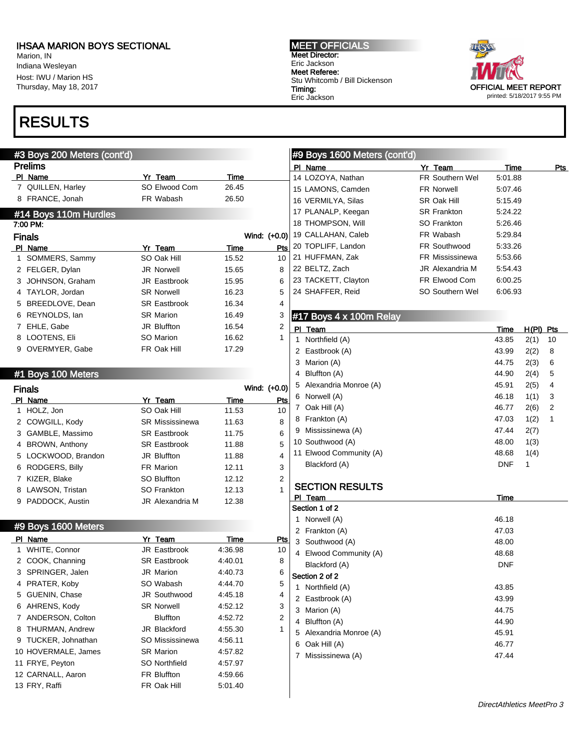Marion, IN Indiana Wesleyan Host: IWU / Marion HS Thursday, May 18, 2017

# RESULTS

### #3 Boys 200 Meters (cont'd) Prelims

| ΡI | Name                  | Yr Team             | Time  |              |
|----|-----------------------|---------------------|-------|--------------|
|    | 7 QUILLEN, Harley     | SO Elwood Com       | 26.45 |              |
| 8  | FRANCE, Jonah         | FR Wabash           | 26.50 |              |
|    | #14 Boys 110m Hurdles |                     |       |              |
|    | 7:00 PM:              |                     |       |              |
|    | <b>Finals</b>         |                     |       | Wind: (+0.0) |
| PL | Name                  | Yr Team             | Time  | Pts          |
|    | 1 SOMMERS, Sammy      | SO Oak Hill         | 15.52 | 10           |
|    | 2 FELGER, Dylan       | <b>JR Norwell</b>   | 15.65 | 8            |
|    | 3 JOHNSON, Graham     | <b>JR Eastbrook</b> | 15.95 | 6            |
|    | 4 TAYLOR, Jordan      | <b>SR Norwell</b>   | 16.23 | 5            |
|    | 5 BREEDLOVE, Dean     | <b>SR Eastbrook</b> | 16.34 | 4            |
| 6  | REYNOLDS, Ian         | <b>SR Marion</b>    | 16.49 | 3            |
|    | 7 EHLE, Gabe          | <b>JR Bluffton</b>  | 16.54 | 2            |

8 LOOTENS, Eli SO Marion 16.62 1

9 OVERMYER, Gabe FR Oak Hill 17.29

#### #1 Boys 100 Meters

|   | <b>Finals</b>         |                        |       | Wind: (+0.0)   |
|---|-----------------------|------------------------|-------|----------------|
|   | PI Name               | Yr Team                | Time  | Pts            |
|   | HOLZ, Jon             | SO Oak Hill            | 11.53 | 10             |
|   | 2 COWGILL, Kody       | <b>SR Mississinewa</b> | 11.63 | 8              |
|   | 3 GAMBLE, Massimo     | <b>SR Eastbrook</b>    | 11.75 | 6              |
| 4 | <b>BROWN, Anthony</b> | <b>SR Eastbrook</b>    | 11.88 | 5              |
|   | 5 LOCKWOOD, Brandon   | <b>JR Bluffton</b>     | 11.88 | 4              |
| 6 | RODGERS, Billy        | <b>FR Marion</b>       | 12.11 | 3              |
|   | 7 KIZER, Blake        | SO Bluffton            | 12.12 | $\overline{2}$ |
| 8 | LAWSON, Tristan       | SO Frankton            | 12.13 | 1              |
|   | 9 PADDOCK, Austin     | JR Alexandria M        | 12.38 |                |

#### #9 Boys 1600 Meters

| ΡI | Name                | Yr Team             | Time    | Pts |
|----|---------------------|---------------------|---------|-----|
| 1. | WHITE, Connor       | JR Eastbrook        | 4:36.98 | 10  |
|    | 2 COOK, Channing    | <b>SR Eastbrook</b> | 4:40.01 | 8   |
|    | 3 SPRINGER, Jalen   | <b>JR</b> Marion    | 4:40.73 | 6   |
| 4  | PRATER, Koby        | SO Wabash           | 4:44.70 | 5   |
|    | 5 GUENIN, Chase     | <b>JR Southwood</b> | 4:45.18 | 4   |
| 6  | AHRENS, Kody        | <b>SR Norwell</b>   | 4:52.12 | 3   |
|    | 7 ANDERSON, Colton  | <b>Bluffton</b>     | 4:52.72 | 2   |
|    | 8 THURMAN, Andrew   | JR Blackford        | 4:55.30 | 1   |
|    | 9 TUCKER, Johnathan | SO Mississinewa     | 4:56.11 |     |
|    | 10 HOVERMALE, James | <b>SR Marion</b>    | 4:57.82 |     |
|    | 11 FRYE, Peyton     | SO Northfield       | 4:57.97 |     |
|    | 12 CARNALL, Aaron   | <b>FR Bluffton</b>  | 4:59.66 |     |
|    | 13 FRY, Raffi       | FR Oak Hill         | 5:01.40 |     |
|    |                     |                     |         |     |

MEET OFFICIALS Meet Director: Eric Jackson Meet Referee: Stu Whitcomb / Bill Dickenson Timing: Eric Jackson



#### #9 Boys 1600 Meters (cont'd) PI Name Pts 14 LOZOYA, Nathan FR Southern Wel 5:01.88 15 LAMONS, Camden FR Norwell 5:07.46 16 VERMILYA, Silas SR Oak Hill 5:15.49 17 PLANALP, Keegan SR Frankton 5:24.22 18 THOMPSON, Will SO Frankton 5:26.46 19 CALLAHAN, Caleb FR Wabash 5:29.84 20 TOPLIFF, Landon FR Southwood 5:33.26 21 HUFFMAN, Zak FR Mississinewa 5:53.66 22 BELTZ, Zach JR Alexandria M 5:54.43 23 TACKETT, Clayton FR Elwood Com 6:00.25

24 SHAFFER, Reid SO Southern Wel 6:06.93

#### #17 Boys 4 x 100m Relay

| РI | Team                    | Time       | H(PI) | Pts |
|----|-------------------------|------------|-------|-----|
| 1  | Northfield (A)          | 43.85      | 2(1)  | 10  |
|    | 2 Eastbrook (A)         | 43.99      | 2(2)  | 8   |
| 3  | Marion (A)              | 44.75      | 2(3)  | 6   |
| 4  | Bluffton (A)            | 44.90      | 2(4)  | 5   |
|    | 5 Alexandria Monroe (A) | 45.91      | 2(5)  | 4   |
| 6  | Norwell (A)             | 46.18      | 1(1)  | 3   |
| 7  | Oak Hill (A)            | 46.77      | 2(6)  | 2   |
| 8  | Frankton (A)            | 47.03      | 1(2)  | 1   |
| 9  | Mississinewa (A)        | 47.44      | 2(7)  |     |
|    | 10 Southwood (A)        | 48.00      | 1(3)  |     |
|    | 11 Elwood Community (A) | 48.68      | 1(4)  |     |
|    | Blackford (A)           | <b>DNF</b> | 1     |     |
|    |                         |            |       |     |

### SECTION RESULTS

| ΡI | Team                  | Time       |
|----|-----------------------|------------|
|    | Section 1 of 2        |            |
| 1  | Norwell (A)           | 46.18      |
| 2  | Frankton (A)          | 47.03      |
| 3  | Southwood (A)         | 48.00      |
| 4  | Elwood Community (A)  | 48.68      |
|    | Blackford (A)         | <b>DNF</b> |
|    | Section 2 of 2        |            |
| 1  | Northfield (A)        | 43.85      |
| 2  | Eastbrook (A)         | 43.99      |
| 3  | Marion (A)            | 44.75      |
| 4  | Bluffton (A)          | 44.90      |
| 5  | Alexandria Monroe (A) | 45.91      |
| 6  | Oak Hill (A)          | 46.77      |
| 7  | Mississinewa (A)      | 47.44      |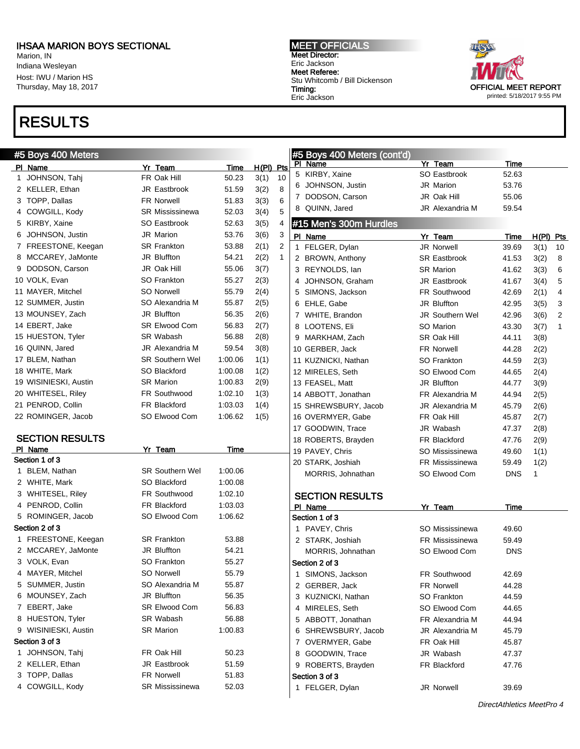Marion, IN Indiana Wesleyan Host: IWU / Marion HS Thursday, May 18, 2017

## RESULTS

MEET OFFICIALS Meet Director: Eric Jackson Meet Referee: Stu Whitcomb / Bill Dickenson Timing: Eric Jackson



 $Time$  H(Pl) Pts

| #5 Boys 400 Meters     |                        |             |                      | #5 Boys 400 Meters (cont'd) |                        |            |              |                |
|------------------------|------------------------|-------------|----------------------|-----------------------------|------------------------|------------|--------------|----------------|
| PI Name                | Yr Team                | <b>Time</b> | $H(PI)$ Pts          | PI Name                     | Yr Team                | Time       |              |                |
| 1 JOHNSON, Tahj        | FR Oak Hill            | 50.23       | 3(1)<br>10           | 5 KIRBY, Xaine              | SO Eastbrook           | 52.63      |              |                |
| 2 KELLER, Ethan        | JR Eastbrook           | 51.59       | 3(2)<br>8            | 6 JOHNSON, Justin           | JR Marion              | 53.76      |              |                |
| 3 TOPP, Dallas         | <b>FR Norwell</b>      | 51.83       | 3(3)<br>6            | 7 DODSON, Carson            | JR Oak Hill            | 55.06      |              |                |
| 4 COWGILL, Kody        | <b>SR Mississinewa</b> | 52.03       | 3(4)<br>5            | 8 QUINN, Jared              | JR Alexandria M        | 59.54      |              |                |
| 5 KIRBY, Xaine         | SO Eastbrook           | 52.63       | 3(5)<br>4            | #15 Men's 300m Hurdles      |                        |            |              |                |
| JOHNSON, Justin<br>6   | <b>JR Marion</b>       | 53.76       | 3(6)<br>3            | PI Name                     | Yr Team                | Time       | H(PI) Pts    |                |
| 7 FREESTONE, Keegan    | <b>SR Frankton</b>     | 53.88       | 2(1)<br>2            | 1 FELGER, Dylan             | JR Norwell             | 39.69      | $3(1)$ 10    |                |
| 8 MCCAREY, JaMonte     | JR Bluffton            | 54.21       | 2(2)<br>$\mathbf{1}$ | 2 BROWN, Anthony            | <b>SR Eastbrook</b>    | 41.53      | 3(2)         | 8              |
| DODSON, Carson<br>9    | JR Oak Hill            | 55.06       | 3(7)                 | 3 REYNOLDS, lan             | <b>SR Marion</b>       | 41.62      | 3(3)         | 6              |
| 10 VOLK, Evan          | SO Frankton            | 55.27       | 2(3)                 | 4 JOHNSON, Graham           | JR Eastbrook           | 41.67      | 3(4)         | 5              |
| 11 MAYER, Mitchel      | <b>SO Norwell</b>      | 55.79       | 2(4)                 | 5 SIMONS, Jackson           | FR Southwood           | 42.69      | 2(1)         | 4              |
| 12 SUMMER, Justin      | SO Alexandria M        | 55.87       | 2(5)                 | 6 EHLE, Gabe                | JR Bluffton            | 42.95      | 3(5)         | 3              |
| 13 MOUNSEY, Zach       | <b>JR Bluffton</b>     | 56.35       | 2(6)                 | 7 WHITE, Brandon            | JR Southern Wel        | 42.96      | 3(6)         | $\overline{2}$ |
| 14 EBERT, Jake         | <b>SR Elwood Com</b>   | 56.83       | 2(7)                 | 8 LOOTENS, Eli              | SO Marion              | 43.30      | 3(7)         | $\mathbf{1}$   |
| 15 HUESTON, Tyler      | SR Wabash              | 56.88       | 2(8)                 | 9 MARKHAM, Zach             | SR Oak Hill            | 44.11      | 3(8)         |                |
| 16 QUINN, Jared        | <b>JR Alexandria M</b> | 59.54       | 3(8)                 | 10 GERBER, Jack             | <b>FR Norwell</b>      | 44.28      | 2(2)         |                |
| 17 BLEM, Nathan        | <b>SR Southern Wel</b> | 1:00.06     | 1(1)                 | 11 KUZNICKI, Nathan         | SO Frankton            | 44.59      | 2(3)         |                |
| 18 WHITE, Mark         | SO Blackford           | 1:00.08     | 1(2)                 | 12 MIRELES, Seth            | SO Elwood Com          | 44.65      | 2(4)         |                |
| 19 WISINIESKI, Austin  | <b>SR Marion</b>       | 1:00.83     | 2(9)                 | 13 FEASEL, Matt             | JR Bluffton            | 44.77      | 3(9)         |                |
| 20 WHITESEL, Riley     | FR Southwood           | 1:02.10     | 1(3)                 | 14 ABBOTT, Jonathan         | FR Alexandria M        | 44.94      | 2(5)         |                |
| 21 PENROD, Collin      | FR Blackford           | 1:03.03     | 1(4)                 | 15 SHREWSBURY, Jacob        | JR Alexandria M        | 45.79      | 2(6)         |                |
| 22 ROMINGER, Jacob     | SO Elwood Com          | 1:06.62     | 1(5)                 | 16 OVERMYER, Gabe           | FR Oak Hill            | 45.87      | 2(7)         |                |
|                        |                        |             |                      | 17 GOODWIN, Trace           | JR Wabash              | 47.37      | 2(8)         |                |
| <b>SECTION RESULTS</b> |                        |             |                      | 18 ROBERTS, Brayden         | FR Blackford           | 47.76      | 2(9)         |                |
| PI Name                | Yr Team                | Time        |                      | 19 PAVEY, Chris             | SO Mississinewa        | 49.60      | 1(1)         |                |
| Section 1 of 3         |                        |             |                      | 20 STARK, Joshiah           | FR Mississinewa        | 59.49      | 1(2)         |                |
| 1 BLEM, Nathan         | <b>SR Southern Wel</b> | 1:00.06     |                      | MORRIS, Johnathan           | SO Elwood Com          | <b>DNS</b> | $\mathbf{1}$ |                |
| 2 WHITE, Mark          | SO Blackford           | 1:00.08     |                      |                             |                        |            |              |                |
| 3 WHITESEL, Riley      | FR Southwood           | 1:02.10     |                      | <b>SECTION RESULTS</b>      |                        |            |              |                |
| 4 PENROD, Collin       | FR Blackford           | 1:03.03     |                      | PI Name                     | Yr Team                | Time       |              |                |
| 5 ROMINGER, Jacob      | SO Elwood Com          | 1:06.62     |                      | Section 1 of 3              |                        |            |              |                |
| Section 2 of 3         |                        |             |                      | 1 PAVEY, Chris              | SO Mississinewa        | 49.60      |              |                |
| 1 FREESTONE, Keegan    | <b>SR Frankton</b>     | 53.88       |                      | 2 STARK, Joshiah            | <b>FR Mississinewa</b> | 59.49      |              |                |
| 2 MCCAREY, JaMonte     | JR Bluffton            | 54.21       |                      | MORRIS, Johnathan           | SO Elwood Com          | <b>DNS</b> |              |                |
| 3 VOLK, Evan           | <b>SO Frankton</b>     | 55.27       |                      | Section 2 of 3              |                        |            |              |                |
| 4 MAYER, Mitchel       | SO Norwell             | 55.79       |                      | 1 SIMONS, Jackson           | FR Southwood           | 42.69      |              |                |
| 5 SUMMER, Justin       | SO Alexandria M        | 55.87       |                      | 2 GERBER, Jack              | <b>FR Norwell</b>      | 44.28      |              |                |
| 6 MOUNSEY, Zach        | JR Bluffton            | 56.35       |                      | 3 KUZNICKI, Nathan          | SO Frankton            | 44.59      |              |                |
| 7 EBERT, Jake          | <b>SR Elwood Com</b>   | 56.83       |                      | 4 MIRELES, Seth             | SO Elwood Com          | 44.65      |              |                |
| 8 HUESTON, Tyler       | SR Wabash              | 56.88       |                      | 5 ABBOTT, Jonathan          | FR Alexandria M        | 44.94      |              |                |
| 9 WISINIESKI, Austin   | <b>SR Marion</b>       | 1:00.83     |                      | 6 SHREWSBURY, Jacob         | JR Alexandria M        | 45.79      |              |                |
| Section 3 of 3         |                        |             |                      | 7 OVERMYER, Gabe            | FR Oak Hill            | 45.87      |              |                |
| 1 JOHNSON, Tahj        | FR Oak Hill            | 50.23       |                      | 8 GOODWIN, Trace            | JR Wabash              | 47.37      |              |                |
| 2 KELLER, Ethan        | JR Eastbrook           | 51.59       |                      | 9 ROBERTS, Brayden          | FR Blackford           | 47.76      |              |                |
| 3 TOPP, Dallas         | <b>FR Norwell</b>      | 51.83       |                      | Section 3 of 3              |                        |            |              |                |
| 4 COWGILL, Kody        | <b>SR Mississinewa</b> | 52.03       |                      | 1 FELGER, Dylan             | JR Norwell             | 39.69      |              |                |
|                        |                        |             |                      |                             |                        |            |              |                |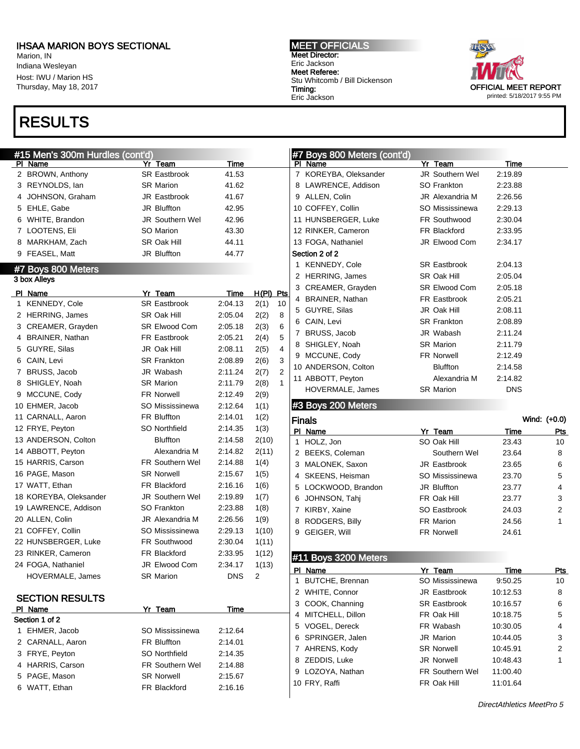Marion, IN Indiana Wesleyan Host: IWU / Marion HS Thursday, May 18, 2017

# RESULTS

### #15 Men's 300m Hurdles (cont'd)

| PI | <b>Name</b>                    | Yr Team                | <u>Time</u> |                  |    |
|----|--------------------------------|------------------------|-------------|------------------|----|
|    | 2 BROWN, Anthony               | <b>SR Eastbrook</b>    | 41.53       |                  |    |
|    | 3 REYNOLDS, lan                | <b>SR Marion</b>       | 41.62       |                  |    |
| 4  | JOHNSON, Graham                | JR Eastbrook           | 41.67       |                  |    |
|    | 5 EHLE, Gabe                   | JR Bluffton            | 42.95       |                  |    |
|    | 6 WHITE, Brandon               | <b>JR Southern Wel</b> | 42.96       |                  |    |
|    | 7 LOOTENS, Eli                 | SO Marion              | 43.30       |                  |    |
|    | 8 MARKHAM, Zach                | SR Oak Hill            | 44.11       |                  |    |
|    | 9 FEASEL, Matt                 | JR Bluffton            | 44.77       |                  |    |
|    | #7 Boys 800 Meters             |                        |             |                  |    |
|    | 3 box Alleys                   |                        |             |                  |    |
|    | PI Name                        | Yr Team                | <u>Time</u> | <u>H(PI) Pts</u> |    |
| 1  | KENNEDY, Cole                  | <b>SR Eastbrook</b>    | 2:04.13     | 2(1)             | 10 |
|    | 2 HERRING, James               | SR Oak Hill            | 2:05.04     | 2(2)             | 8  |
|    | 3 CREAMER, Grayden             | SR Elwood Com          | 2:05.18     | 2(3)             | 6  |
|    | 4 BRAINER, Nathan              | FR Eastbrook           | 2:05.21     | 2(4)             | 5  |
|    | 5 GUYRE, Silas                 | JR Oak Hill            | 2:08.11     | 2(5)             | 4  |
|    | 6 CAIN, Levi                   | <b>SR Frankton</b>     | 2:08.89     | 2(6)             | 3  |
|    | 7 BRUSS, Jacob                 | JR Wabash              | 2:11.24     | 2(7)             | 2  |
|    | 8 SHIGLEY, Noah                | <b>SR Marion</b>       | 2:11.79     | 2(8)             | 1  |
|    | 9 MCCUNE, Cody                 | <b>FR Norwell</b>      | 2:12.49     | 2(9)             |    |
|    | 10 EHMER, Jacob                | SO Mississinewa        | 2:12.64     | 1(1)             |    |
|    | 11 CARNALL, Aaron              | <b>FR Bluffton</b>     | 2:14.01     | 1(2)             |    |
|    | 12 FRYE, Peyton                | SO Northfield          | 2:14.35     | 1(3)             |    |
|    | 13 ANDERSON, Colton            | <b>Bluffton</b>        | 2:14.58     | 2(10)            |    |
|    | 14 ABBOTT, Peyton              | Alexandria M           | 2:14.82     | 2(11)            |    |
|    | 15 HARRIS, Carson              | <b>FR Southern Wel</b> | 2:14.88     | 1(4)             |    |
|    | 16 PAGE, Mason                 | <b>SR Norwell</b>      | 2:15.67     | 1(5)             |    |
|    | 17 WATT, Ethan                 | FR Blackford           | 2:16.16     | 1(6)             |    |
|    | 18 KOREYBA, Oleksander         | JR Southern Wel        | 2:19.89     | 1(7)             |    |
|    | 19 LAWRENCE, Addison           | SO Frankton            | 2:23.88     | 1(8)             |    |
|    | 20 ALLEN, Colin                | JR Alexandria M        | 2:26.56     | 1(9)             |    |
|    | 21 COFFEY, Collin              | SO Mississinewa        | 2:29.13     | 1(10)            |    |
|    | 22 HUNSBERGER, Luke            | FR Southwood           | 2:30.04     | 1(11)            |    |
|    | 23 RINKER, Cameron             | FR Blackford           | 2:33.95     | 1(12)            |    |
|    | 24 FOGA, Nathaniel             | JR Elwood Com          | 2:34.17     | 1(13)            |    |
|    | HOVERMALE, James               | <b>SR Marion</b>       | DNS         | 2                |    |
|    |                                |                        |             |                  |    |
|    | <b>SECTION RESULTS</b>         |                        |             |                  |    |
|    | PI Name<br>Section 1 of 2      | Yr Team                | Time        |                  |    |
| 1  | EHMER, Jacob                   | SO Mississinewa        | 2:12.64     |                  |    |
| 2  |                                | <b>FR Bluffton</b>     |             |                  |    |
|    | CARNALL, Aaron<br>FRYE, Peyton | SO Northfield          | 2:14.01     |                  |    |
| 3  |                                |                        | 2:14.35     |                  |    |
| 4  | <b>HARRIS, Carson</b>          | <b>FR Southern Wel</b> | 2:14.88     |                  |    |
|    | 5 PAGE, Mason                  | <b>SR Norwell</b>      | 2:15.67     |                  |    |

6 WATT, Ethan FR Blackford 2:16.16

MEET OFFICIALS Meet Director: Eric Jackson Meet Referee: Stu Whitcomb / Bill Dickenson Timing: Eric Jackson



### #7 Boys 800 Meters (cont'd) PI Name **Yr Team Yr Team** Time 7 KOREYBA, Oleksander JR Southern Wel 2:19.89 8 LAWRENCE, Addison SO Frankton 2:23.88 9 ALLEN, Colin JR Alexandria M 2:26.56 10 COFFEY, Collin SO Mississinewa 2:29.13 11 HUNSBERGER, Luke FR Southwood 2:30.04 12 RINKER, Cameron FR Blackford 2:33.95 13 FOGA, Nathaniel JR Elwood Com 2:34.17 Section 2 of 2 1 KENNEDY, Cole SR Eastbrook 2:04.13 2 HERRING, James SR Oak Hill 2:05.04 3 CREAMER, Grayden SR Elwood Com 2:05.18 4 BRAINER, Nathan FR Eastbrook 2:05.21 5 GUYRE, Silas JR Oak Hill 2:08.11 6 CAIN, Levi SR Frankton 2:08.89 7 BRUSS, Jacob JR Wabash 2:11.24 8 SHIGLEY, Noah SR Marion 2:11.79 9 MCCUNE, Cody FR Norwell 2:12.49 10 ANDERSON, Colton Bluffton 2:14.58 11 ABBOTT, Peyton Alexandria M 2:14.82 HOVERMALE, James SR Marion DNS #3 Boys 200 Meters Finals Wind: (+0.0) PI Name **Yr Team** Time Pts 1 HOLZ, Jon SO Oak Hill 23.43 10 2 BEEKS, Coleman Southern Wel 23.64 8 3 MALONEK, Saxon JR Eastbrook 23.65 6 4 SKEENS, Heisman SO Mississinewa 23.70 5 5 LOCKWOOD, Brandon JR Bluffton 23.77 4 6 JOHNSON, Tahj FR Oak Hill 23.77 3 7 KIRBY, Xaine SO Eastbrook 24.03 2 8 RODGERS, Billy FR Marion 24.56 1 9 GEIGER, Will **FR Norwell** 24.61 #11 Boys 3200 Meters PI Name **Product Product Product Product Product** Product Product Product Product Product Product Product Product Product Product Product Product Product Product Product Product Product Product Product Product Product Prod 1 BUTCHE, Brennan SO Mississinewa 9:50.25 10 2 WHITE, Connor **JR Eastbrook** 10:12.53 8 3 COOK, Channing SR Eastbrook 10:16.57 6 4 MITCHELL, Dillon FR Oak Hill 10:18.75 5 5 VOGEL, Dereck FR Wabash 10:30.05 4 6 SPRINGER, Jalen JR Marion 10:44.05 3 7 AHRENS, Kody SR Norwell 10:45.91 2 8 ZEDDIS, Luke **JR Norwell** 10:48.43 1 9 LOZOYA, Nathan FR Southern Wel 11:00.40

10 FRY, Raffi **FR Oak Hill** 11:01.64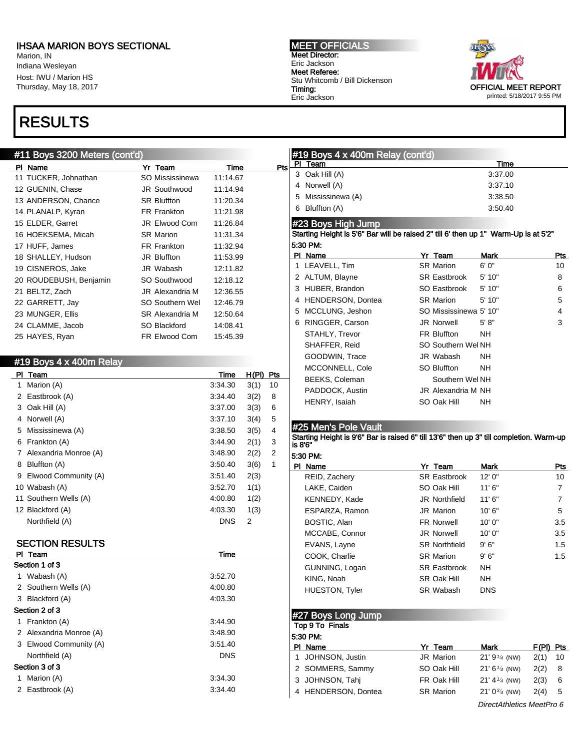Marion, IN Indiana Wesleyan Host: IWU / Marion HS Thursday, May 18, 2017

# RESULTS

#### #11 Boys 3200 Meters (cont'd)

| Yr Team                | Time     | Pts |
|------------------------|----------|-----|
| SO Mississinewa        | 11:14.67 |     |
| <b>JR Southwood</b>    | 11:14.94 |     |
| <b>SR Bluffton</b>     | 11:20.34 |     |
| FR Frankton            | 11:21.98 |     |
| <b>JR Elwood Com</b>   | 11:26.84 |     |
| <b>SR Marion</b>       | 11:31.34 |     |
| FR Frankton            | 11:32.94 |     |
| JR Bluffton            | 11:53.99 |     |
| JR Wabash              | 12:11.82 |     |
| SO Southwood           | 12:18.12 |     |
| JR Alexandria M        | 12:36.55 |     |
| <b>SO Southern Wel</b> | 12:46.79 |     |
| SR Alexandria M        | 12:50.64 |     |
| SO Blackford           | 14:08.41 |     |
| FR Elwood Com          | 15:45.39 |     |
|                        |          |     |

|   | #19 Boys 4 x 400m Relay |             |       |     |
|---|-------------------------|-------------|-------|-----|
|   | PI Team                 | <b>Time</b> | H(PI) | Pts |
| 1 | Marion (A)              | 3:34.30     | 3(1)  | 10  |
| 2 | Eastbrook (A)           | 3:34.40     | 3(2)  | 8   |
|   | 3 Oak Hill (A)          | 3:37.00     | 3(3)  | 6   |
| 4 | Norwell (A)             | 3:37.10     | 3(4)  | 5   |
| 5 | Mississinewa (A)        | 3:38.50     | 3(5)  | 4   |
| 6 | Frankton (A)            | 3:44.90     | 2(1)  | 3   |
| 7 | Alexandria Monroe (A)   | 3:48.90     | 2(2)  | 2   |
| 8 | Bluffton (A)            | 3:50.40     | 3(6)  | 1   |
| 9 | Elwood Community (A)    | 3:51.40     | 2(3)  |     |
|   | 10 Wabash (A)           | 3:52.70     | 1(1)  |     |
|   | 11 Southern Wells (A)   | 4:00.80     | 1(2)  |     |
|   | 12 Blackford (A)        | 4:03.30     | 1(3)  |     |
|   | Northfield (A)          | <b>DNS</b>  | 2     |     |
|   |                         |             |       |     |
|   | <b>SECTION RESULTS</b>  |             |       |     |
|   | PI Team                 | <u>Time</u> |       |     |
|   | Section 1 of 3          |             |       |     |
| 1 | Wabash (A)              | 3:52.70     |       |     |
| 2 | Southern Wells (A)      | 4:00.80     |       |     |
|   | 3 Blackford (A)         | 4:03.30     |       |     |
|   | Section 2 of 3          |             |       |     |
| 1 | Frankton (A)            | 3:44.90     |       |     |
| 2 | Alexandria Monroe (A)   | 3:48.90     |       |     |
|   | 3 Elwood Community (A)  | 3:51.40     |       |     |
|   | Northfield (A)          | <b>DNS</b>  |       |     |
|   | Section 3 of 3          |             |       |     |
| 1 | Marion (A)              | 3:34.30     |       |     |
| 2 | Eastbrook (A)           | 3:34.40     |       |     |
|   |                         |             |       |     |

MEET OFFICIALS Meet Director: Eric Jackson Meet Referee: Stu Whitcomb / Bill Dickenson Timing: Eric Jackson



#### #19 Boys 4 x 400m Relay (cont'd) PI Team Time 3 Oak Hill (A) 3:37.00 4 Norwell (A) 3:37.10 5 Mississinewa (A) 3:38.50

6 Bluffton (A) 3:50.40

### #23 Boys High Jump

Starting Height is 5'6" Bar will be raised 2" till 6' then up 1" Warm-Up is at 5'2" 5:30 PM:

| ΡI | Name                  | Yr Team                | Mark  | Pts |
|----|-----------------------|------------------------|-------|-----|
|    | 1 LEAVELL, Tim        | <b>SR Marion</b>       | 6' 0" | 10  |
|    | 2 ALTUM, Blayne       | <b>SR</b> Eastbrook    | 5'10" | 8   |
|    | 3 HUBER, Brandon      | SO Eastbrook           | 5'10" | 6   |
|    | 4 HENDERSON, Dontea   | <b>SR Marion</b>       | 5'10" | 5   |
|    | 5 MCCLUNG, Jeshon     | SO Mississinewa 5' 10" |       | 4   |
| 6  | RINGGER, Carson       | <b>JR Norwell</b>      | 5' 8" | 3   |
|    | STAHLY, Trevor        | <b>FR Bluffton</b>     | NΗ    |     |
|    | SHAFFER, Reid         | SO Southern Wel NH     |       |     |
|    | GOODWIN, Trace        | JR Wabash              | NΗ    |     |
|    | MCCONNELL, Cole       | SO Bluffton            | NH.   |     |
|    | <b>BEEKS, Coleman</b> | Southern Wel NH        |       |     |
|    | PADDOCK, Austin       | JR Alexandria M NH     |       |     |
|    | HENRY, Isaiah         | SO Oak Hill            | NΗ    |     |

#### #25 Men's Pole Vault

Starting Height is 9'6" Bar is raised 6" till 13'6" then up 3" till completion. Warm-up is 8'6"

| 5.30 PM:              |                      |            |     |
|-----------------------|----------------------|------------|-----|
| Name<br>ΡI            | Yr Team              | Mark       | Pts |
| REID, Zachery         | <b>SR Eastbrook</b>  | 12'0''     | 10  |
| LAKE, Caiden          | SO Oak Hill          | 11'6''     | 7   |
| KENNEDY, Kade         | <b>JR Northfield</b> | 11'6''     | 7   |
| ESPARZA, Ramon        | JR Marion            | 10'6''     | 5   |
| BOSTIC, Alan          | <b>FR Norwell</b>    | 10' 0"     | 3.5 |
| MCCABE, Connor        | <b>JR Norwell</b>    | 10'0''     | 3.5 |
| EVANS, Layne          | <b>SR Northfield</b> | 9'6''      | 1.5 |
| COOK, Charlie         | <b>SR Marion</b>     | 9'6''      | 1.5 |
| GUNNING, Logan        | <b>SR Eastbrook</b>  | <b>NH</b>  |     |
| KING, Noah            | SR Oak Hill          | <b>NH</b>  |     |
| <b>HUESTON, Tyler</b> | SR Wabash            | <b>DNS</b> |     |

#### #27 Boys Long Jump

Top 9 To Finals

| 5:30 PM:            |                  |                           |             |     |  |  |  |  |
|---------------------|------------------|---------------------------|-------------|-----|--|--|--|--|
| PI Name             | Yr Team          | Mark                      | $F(PI)$ Pts |     |  |  |  |  |
| 1 JOHNSON, Justin   | JR Marion        | $21' 91/4$ (NW)           | 2(1)        | -10 |  |  |  |  |
| 2 SOMMERS, Sammy    | SO Oak Hill      | $21' 6\frac{1}{4}$ (NW)   | 2(2)        | 8   |  |  |  |  |
| 3 JOHNSON, Tahi     | FR Oak Hill      | $21' 4\frac{1}{4}$ (NW)   | 2(3)        | 6   |  |  |  |  |
| 4 HENDERSON, Dontea | <b>SR Marion</b> | $21' 0^{3/4}$ (NW)        | 2(4)        | 5   |  |  |  |  |
|                     |                  | DirectAthletics MeetPro 6 |             |     |  |  |  |  |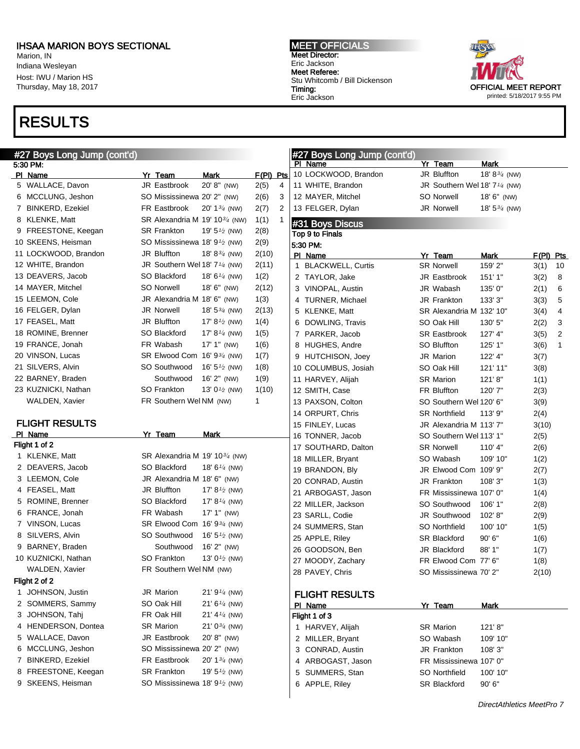Marion, IN Indiana Wesleyan Host: IWU / Marion HS Thursday, May 18, 2017

## RESULTS

#27 Boys Long Jump (cont'd) 5:30 PM: PI Name **Yr Team** Mark F(PI) Pts 5 WALLACE, Davon JR Eastbrook 20' 8" (NW) 2(5) 4 6 MCCLUNG, Jeshon SO Mississinewa 20' 2" (NW) 2(6) 3 7 BINKERD, Ezekiel FR Eastbrook 20' 1<sup>3/4</sup> (NW) 2(7) 2 8 KLENKE, Matt SR Alexandria M 19' 10<sup>3</sup>/<sub>4</sub> (NW) 1(1) 1 9 FREESTONE, Keegan SR Frankton 19' 5<sup>1</sup>/2 (NW) 2(8) 10 SKEENS, Heisman SO Mississinewa 18' 9 $\frac{1}{2}$  (NW) 2(9) 11 LOCKWOOD, Brandon JR Bluffton 18' 8<sup>3/4</sup> (NW) 2(10) 12 WHITE, Brandon  $JR$  Southern Wel 18'  $7\frac{1}{4}$  (NW)  $2(11)$ 13 DEAVERS, Jacob SO Blackford 18' 6<sup>1/4</sup> (NW) 1(2) 14 MAYER, Mitchel SO Norwell 18' 6" (NW) 2(12) 15 LEEMON, Cole **JR** Alexandria M 18' 6" (NW) 1(3) 16 FELGER, Dylan JR Norwell 18' 53/4 (NW) 2(13) 17 FEASEL, Matt **JR Bluffton** 17' 8<sup>1</sup>/2 (NW) 1(4) 18 ROMINE, Brenner SO Blackford 17' 8<sup>1</sup>/4 (NW) 1(5) 19 FRANCE, Jonah FR Wabash 17' 1" (NW) 1(6) 20 VINSON, Lucas SR Elwood Com 16' 93/4 (NW) 1(7) 21 SILVERS, Alvin  $SO$  Southwood  $16' 5<sup>1</sup>2$  (NW)  $1(8)$ 22 BARNEY, Braden Southwood 16' 2" (NW) 1(9) 23 KUZNICKI, Nathan  $SO$  Frankton  $13'0<sup>1</sup>2$  (NW)  $1(10)$ WALDEN, Xavier FR Southern Wel NM (NW) 1 FLIGHT RESULTS PI Name **Yr Team** Mark Flight 1 of 2 1 KLENKE, Matt SR Alexandria M 19' 10<sup>3/4</sup> (NW) 2 DEAVERS, Jacob SO Blackford 18' 6<sup>1/4</sup> (NW) 3 LEEMON, Cole JR Alexandria M 18' 6" (NW) 4 FEASEL, Matt **JR Bluffton** 17' 8<sup>1</sup>/2 (NW) 5 ROMINE, Brenner SO Blackford 17' 8<sup>1/4</sup> (NW) 6 FRANCE, Jonah FR Wabash 17' 1" (NW) 7 VINSON, Lucas SR Elwood Com 16' 93/4 (NW) 8 SILVERS, Alvin SO Southwood 16' 5<sup>1/2</sup> (NW) 9 BARNEY, Braden Southwood 16' 2" (NW) 10 KUZNICKI, Nathan SO Frankton 13' 0<sup>1</sup>/2 (NW) WALDEN, Xavier **FR Southern Wel NM (NW)** Flight 2 of 2 1 JOHNSON, Justin JR Marion 21' 9<sup>1/4</sup> (NW) 2 SOMMERS, Sammy SO Oak Hill 21' 6<sup>1/4</sup> (NW) 3 JOHNSON, Tahj FR Oak Hill 21' 4<sup>1/4</sup> (NW) 4 HENDERSON, Dontea SR Marion 21' 0<sup>3/4</sup> (NW) 5 WALLACE, Davon JR Eastbrook 20' 8" (NW) 6 MCCLUNG, Jeshon SO Mississinewa 20' 2" (NW) 7 BINKERD, Ezekiel FR Eastbrook 20' 13/4 (NW) 8 FREESTONE, Keegan SR Frankton 19' 5<sup>1</sup>/2 (NW) 9 SKEENS, Heisman SO Mississinewa 18' 9<sup>1</sup>/2 (NW) #27 Boys Long Jump (cont'd) PI Name **Yr Team** Mark 10 LOCKWOOD, Brandon JR Bluffton 18' 83/4 (NW) 11 WHITE, Brandon JR Southern Wel 18' 7<sup>1/4</sup> (NW) 12 MAYER, Mitchel SO Norwell 18' 6" (NW) 13 FELGER, Dylan JR Norwell 18' 5<sup>3/4</sup> (NW) #31 Boys Discus Top 9 to Finals 5:30 PM: PI Name Yr Team Mark F(PI) Pts 1 BLACKWELL, Curtis SR Norwell 159' 2" 3(1) 10 2 TAYLOR, Jake JR Eastbrook 151' 1" 3(2) 8 3 VINOPAL, Austin JR Wabash 135' 0" 2(1) 6 4 TURNER, Michael JR Frankton 133' 3" 3(3) 5 5 KLENKE, Matt **SR Alexandria M 132' 10"** 3(4) 4 6 DOWLING, Travis SO Oak Hill 130' 5" 2(2) 3 7 PARKER, Jacob SR Eastbrook 127' 4" 3(5) 2 8 HUGHES, Andre SO Bluffton 125' 1" 3(6) 1 9 HUTCHISON, Joey JR Marion 122' 4" 3(7) 10 COLUMBUS, Josiah SO Oak Hill 121' 11" 3(8) 11 HARVEY, Alijah SR Marion 121' 8" 1(1) 12 SMITH, Case **FR Bluffton** 120' 7" 2(3) 13 PAXSON, Colton SO Southern Wel 120' 6" 3(9) 14 ORPURT, Chris SR Northfield 113' 9" 2(4) 15 FINLEY, Lucas JR Alexandria M 113' 7" 3(10) 16 TONNER, Jacob SO Southern Wel 113' 1" 2(5) 17 SOUTHARD, Dalton SR Norwell 110' 4" 2(6) 18 MILLER, Bryant SO Wabash 109' 10" 1(2) 19 BRANDON, Bly **JR Elwood Com 109' 9"** 2(7) 20 CONRAD, Austin JR Frankton 108' 3" 1(3) 21 ARBOGAST, Jason FR Mississinewa 107' 0" 1(4) 22 MILLER, Jackson SO Southwood 106' 1" 2(8) 23 SARLL, Codie JR Southwood 102' 8" 2(9) 24 SUMMERS, Stan SO Northfield 100' 10" 1(5) 25 APPLE, Riley SR Blackford 90' 6" 1(6) 26 GOODSON, Ben JR Blackford 88' 1" 1(7) 27 MOODY, Zachary **FR Elwood Com 77' 6"** 1(8) 28 PAVEY, Chris SO Mississinewa 70' 2" 2(10) FLIGHT RESULTS PI Name **Yr Team** Mark Flight 1 of 3 1 HARVEY, Alijah SR Marion 121' 8" 2 MILLER, Bryant SO Wabash 109' 10" 3 CONRAD, Austin JR Frankton 108' 3" 4 ARBOGAST, Jason FR Mississinewa 107' 0" 5 SUMMERS, Stan SO Northfield 100' 10" 6 APPLE, Riley SR Blackford 90' 6"

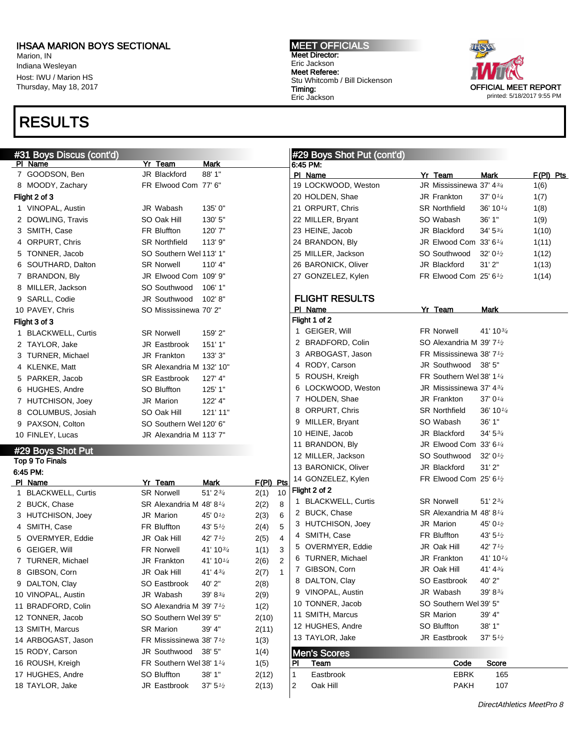Marion, IN Indiana Wesleyan Host: IWU / Marion HS Thursday, May 18, 2017

# RESULTS



| #31 Boys Discus (cont'd) |                                                   |                      |             |                | #29 Boys Shot Put (cont'd) |                                                 |                      |           |
|--------------------------|---------------------------------------------------|----------------------|-------------|----------------|----------------------------|-------------------------------------------------|----------------------|-----------|
| PI Name                  | Yr Team                                           | <b>Mark</b>          |             |                | 6:45 PM:                   |                                                 |                      |           |
| 7 GOODSON, Ben           | JR Blackford                                      | 88' 1"               |             |                | PI Name                    | Yr Team                                         | Mark                 | F(PI) Pts |
| 8 MOODY, Zachary         | FR Elwood Com 77' 6"                              |                      |             |                | 19 LOCKWOOD, Weston        | JR Mississinewa 37' 43/4                        |                      | 1(6)      |
| Flight 2 of 3            |                                                   |                      |             |                | 20 HOLDEN, Shae            | JR Frankton                                     | 37' $0\frac{1}{4}$   | 1(7)      |
| 1 VINOPAL, Austin        | JR Wabash                                         | 135'0"               |             |                | 21 ORPURT, Chris           | <b>SR Northfield</b>                            | 36' 10 $\frac{1}{4}$ | 1(8)      |
| 2 DOWLING, Travis        | SO Oak Hill                                       | 130' 5"              |             |                | 22 MILLER, Bryant          | SO Wabash                                       | 36' 1"               | 1(9)      |
| 3 SMITH, Case            | FR Bluffton                                       | 120'7"               |             |                | 23 HEINE, Jacob            | JR Blackford                                    | $34' 5\frac{3}{4}$   | 1(10)     |
| 4 ORPURT, Chris          | <b>SR Northfield</b>                              | 113' 9"              |             |                | 24 BRANDON, Bly            | JR Elwood Com 33' 6 <sup>1/4</sup>              |                      | 1(11)     |
| 5 TONNER, Jacob          | SO Southern Wel 113' 1"                           |                      |             |                | 25 MILLER, Jackson         | SO Southwood                                    | 32' $0\frac{1}{2}$   | 1(12)     |
| 6 SOUTHARD, Dalton       | <b>SR Norwell</b>                                 | 110' 4"              |             |                | 26 BARONICK, Oliver        | JR Blackford                                    | 31'2"                | 1(13)     |
| 7 BRANDON, Bly           | JR Elwood Com 109' 9"                             |                      |             |                | 27 GONZELEZ, Kylen         | FR Elwood Com 25' 6 <sup>1</sup> / <sub>2</sub> |                      | 1(14)     |
| 8 MILLER, Jackson        | SO Southwood                                      | 106' 1"              |             |                |                            |                                                 |                      |           |
| 9 SARLL, Codie           | JR Southwood                                      | 102'8"               |             |                | <b>FLIGHT RESULTS</b>      |                                                 |                      |           |
| 10 PAVEY, Chris          | SO Mississinewa 70' 2"                            |                      |             |                | PI Name                    | Yr Team                                         | Mark                 |           |
| Flight 3 of 3            |                                                   |                      |             |                | Flight 1 of 2              |                                                 |                      |           |
| 1 BLACKWELL, Curtis      | <b>SR Norwell</b>                                 | 159' 2"              |             |                | 1 GEIGER, Will             | FR Norwell                                      | 41' 1034             |           |
| 2 TAYLOR, Jake           | <b>JR Eastbrook</b>                               | 151'1"               |             |                | 2 BRADFORD, Colin          | SO Alexandria M 39' 7 <sup>1</sup> /2           |                      |           |
| 3 TURNER, Michael        | JR Frankton                                       | 133' 3"              |             |                | 3 ARBOGAST, Jason          | FR Mississinewa 38' 7 <sup>1</sup> /2           |                      |           |
| 4 KLENKE, Matt           | SR Alexandria M 132' 10"                          |                      |             |                | 4 RODY, Carson             | JR Southwood                                    | 38' 5"               |           |
| 5 PARKER, Jacob          | <b>SR Eastbrook</b>                               | 127' 4"              |             |                | 5 ROUSH, Kreigh            | FR Southern Wel 38' 1 <sup>1/4</sup>            |                      |           |
| 6 HUGHES, Andre          | <b>SO Bluffton</b>                                | 125' 1"              |             |                | 6 LOCKWOOD, Weston         | JR Mississinewa 37' 434                         |                      |           |
| 7 HUTCHISON, Joey        | JR Marion                                         | 122' 4"              |             |                | 7 HOLDEN, Shae             | <b>JR Frankton</b>                              | 37' $0\frac{1}{4}$   |           |
| 8 COLUMBUS, Josiah       | SO Oak Hill                                       | 121' 11"             |             |                | 8 ORPURT, Chris            | <b>SR Northfield</b>                            | 36' 10 $\frac{1}{4}$ |           |
| 9 PAXSON, Colton         | SO Southern Wel 120' 6"                           |                      |             |                | 9 MILLER, Bryant           | SO Wabash                                       | 36' 1"               |           |
| 10 FINLEY, Lucas         | JR Alexandria M 113' 7"                           |                      |             |                | 10 HEINE, Jacob            | JR Blackford                                    | $34' 5\frac{3}{4}$   |           |
| #29 Boys Shot Put        |                                                   |                      |             |                | 11 BRANDON, Bly            | JR Elwood Com $33'6''4$                         |                      |           |
| Top 9 To Finals          |                                                   |                      |             |                | 12 MILLER, Jackson         | SO Southwood                                    | 32' $0\frac{1}{2}$   |           |
| 6:45 PM:                 |                                                   |                      |             |                | 13 BARONICK, Oliver        | JR Blackford                                    | 31'2"                |           |
| PI Name                  | Yr Team                                           | <b>Mark</b>          | $F(PI)$ Pts |                | 14 GONZELEZ, Kylen         | FR Elwood Com 25' 61/2                          |                      |           |
| 1 BLACKWELL, Curtis      | <b>SR Norwell</b>                                 | $51'$ $2\frac{3}{4}$ | 2(1)        | 10             | Flight 2 of 2              |                                                 |                      |           |
| 2 BUCK, Chase            | SR Alexandria M 48' 8 <sup>1/4</sup>              |                      | 2(2)        | 8              | 1 BLACKWELL, Curtis        | <b>SR Norwell</b>                               | $51'$ $2\frac{3}{4}$ |           |
| 3 HUTCHISON, Joey        | JR Marion                                         | 45' 0 <sup>1/2</sup> | 2(3)        | 6              | 2 BUCK, Chase              | SR Alexandria M 48'8 <sup>1/4</sup>             |                      |           |
| 4 SMITH, Case            | FR Bluffton                                       | 43' $5\frac{1}{2}$   | 2(4)        | 5              | 3 HUTCHISON, Joev          | <b>JR Marion</b>                                | 45' 0 <sup>1/2</sup> |           |
| 5 OVERMYER, Eddie        | JR Oak Hill                                       | 42' 71/2             | 2(5)        | 4              | 4 SMITH, Case              | FR Bluffton                                     | 43' $5\frac{1}{2}$   |           |
| 6 GEIGER, Will           | <b>FR Norwell</b>                                 | $41' 10^{3/4}$       | 1(1)        | 3              | 5 OVERMYER, Eddie          | JR Oak Hill                                     | 42' 71/2             |           |
| 7 TURNER, Michael        | JR Frankton                                       | 41' 10 $\frac{1}{4}$ | 2(6)        | $\overline{2}$ | 6 TURNER, Michael          | <b>JR Frankton</b>                              | 41' 10 $\frac{1}{4}$ |           |
| 8 GIBSON, Corn           | JR Oak Hill                                       | 41' 4 $\frac{3}{4}$  | 2(7)        | $\mathbf{1}$   | 7 GIBSON, Corn             | JR Oak Hill                                     | 41' 43'              |           |
| 9 DALTON, Clay           | SO Eastbrook                                      | 40' 2"               | 2(8)        |                | 8 DALTON, Clay             | SO Eastbrook                                    | 40' 2"               |           |
| 10 VINOPAL, Austin       | JR Wabash                                         | 39' 83/4             | 2(9)        |                | 9 VINOPAL, Austin          | JR Wabash                                       | $39' 8\frac{3}{4}$   |           |
| 11 BRADFORD, Colin       | SO Alexandria M 39' 7 <sup>1</sup> /2             |                      | 1(2)        |                | 10 TONNER, Jacob           | SO Southern Wel 39' 5"                          |                      |           |
| 12 TONNER, Jacob         | SO Southern Wel 39' 5"                            |                      | 2(10)       |                | 11 SMITH, Marcus           | <b>SR Marion</b>                                | 39' 4"               |           |
| 13 SMITH, Marcus         | <b>SR Marion</b>                                  | 39' 4"               | 2(11)       |                | 12 HUGHES, Andre           | SO Bluffton                                     | 38'1"                |           |
| 14 ARBOGAST, Jason       | FR Mississinewa 38' 7 <sup>1</sup> / <sub>2</sub> |                      | 1(3)        |                | 13 TAYLOR, Jake            | JR Eastbrook                                    | 37' 5'' <sub>2</sub> |           |
| 15 RODY, Carson          | JR Southwood                                      | 38' 5"               | 1(4)        |                | <b>Men's Scores</b>        |                                                 |                      |           |
| 16 ROUSH, Kreigh         | FR Southern Wel 38' 11/4                          |                      | 1(5)        |                | PI<br>Team                 | Code                                            | <b>Score</b>         |           |
| 17 HUGHES, Andre         | SO Bluffton                                       | 38' 1"               | 2(12)       | 1              | Eastbrook                  | <b>EBRK</b>                                     | 165                  |           |
| 18 TAYLOR, Jake          | JR Eastbrook                                      | 37' 5''              | 2(13)       | 2              | Oak Hill                   | <b>PAKH</b>                                     | 107                  |           |
|                          |                                                   |                      |             |                |                            |                                                 |                      |           |